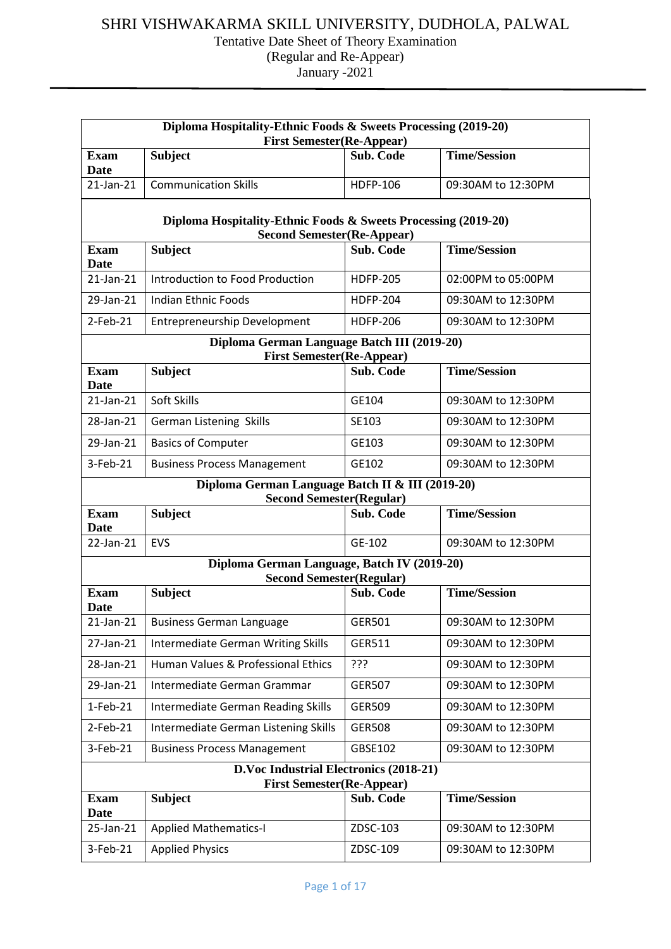| Diploma Hospitality-Ethnic Foods & Sweets Processing (2019-20)                                               |                                                                                      |                  |                     |  |  |  |
|--------------------------------------------------------------------------------------------------------------|--------------------------------------------------------------------------------------|------------------|---------------------|--|--|--|
| <b>First Semester(Re-Appear)</b><br><b>Time/Session</b><br><b>Subject</b><br><b>Exam</b><br><b>Sub. Code</b> |                                                                                      |                  |                     |  |  |  |
| <b>Date</b>                                                                                                  |                                                                                      |                  |                     |  |  |  |
| $21$ -Jan- $21$                                                                                              | <b>Communication Skills</b>                                                          | <b>HDFP-106</b>  | 09:30AM to 12:30PM  |  |  |  |
|                                                                                                              | Diploma Hospitality-Ethnic Foods & Sweets Processing (2019-20)                       |                  |                     |  |  |  |
| <b>Exam</b>                                                                                                  | <b>Second Semester (Re-Appear)</b><br><b>Subject</b>                                 | <b>Sub. Code</b> | <b>Time/Session</b> |  |  |  |
| <b>Date</b>                                                                                                  |                                                                                      |                  |                     |  |  |  |
| $21$ -Jan- $21$                                                                                              | Introduction to Food Production                                                      | <b>HDFP-205</b>  | 02:00PM to 05:00PM  |  |  |  |
| 29-Jan-21                                                                                                    | Indian Ethnic Foods                                                                  | <b>HDFP-204</b>  | 09:30AM to 12:30PM  |  |  |  |
| $2$ -Feb-21                                                                                                  | <b>Entrepreneurship Development</b>                                                  | <b>HDFP-206</b>  | 09:30AM to 12:30PM  |  |  |  |
|                                                                                                              | Diploma German Language Batch III (2019-20)<br><b>First Semester(Re-Appear)</b>      |                  |                     |  |  |  |
| <b>Exam</b>                                                                                                  | <b>Subject</b>                                                                       | Sub. Code        | <b>Time/Session</b> |  |  |  |
| <b>Date</b>                                                                                                  |                                                                                      |                  |                     |  |  |  |
| $21$ -Jan- $21$                                                                                              | Soft Skills                                                                          | GE104            | 09:30AM to 12:30PM  |  |  |  |
| 28-Jan-21                                                                                                    | German Listening Skills                                                              | SE103            | 09:30AM to 12:30PM  |  |  |  |
| 29-Jan-21                                                                                                    | <b>Basics of Computer</b>                                                            | GE103            | 09:30AM to 12:30PM  |  |  |  |
| 3-Feb-21                                                                                                     | <b>Business Process Management</b>                                                   | GE102            | 09:30AM to 12:30PM  |  |  |  |
|                                                                                                              | Diploma German Language Batch II & III (2019-20)<br><b>Second Semester (Regular)</b> |                  |                     |  |  |  |
| <b>Exam</b><br>Date                                                                                          | <b>Subject</b>                                                                       | <b>Sub. Code</b> | <b>Time/Session</b> |  |  |  |
| 22-Jan-21                                                                                                    | <b>EVS</b>                                                                           | GE-102           | 09:30AM to 12:30PM  |  |  |  |
|                                                                                                              | Diploma German Language, Batch IV (2019-20)                                          |                  |                     |  |  |  |
| <b>Exam</b>                                                                                                  | <b>Second Semester (Regular)</b><br><b>Subject</b>                                   | Sub. Code        | <b>Time/Session</b> |  |  |  |
| Date                                                                                                         |                                                                                      |                  |                     |  |  |  |
| 21-Jan-21                                                                                                    | <b>Business German Language</b>                                                      | GER501           | 09:30AM to 12:30PM  |  |  |  |
| 27-Jan-21                                                                                                    | <b>Intermediate German Writing Skills</b>                                            | <b>GER511</b>    | 09:30AM to 12:30PM  |  |  |  |
| 28-Jan-21                                                                                                    | Human Values & Professional Ethics                                                   | ???              | 09:30AM to 12:30PM  |  |  |  |
| 29-Jan-21                                                                                                    | Intermediate German Grammar                                                          | <b>GER507</b>    | 09:30AM to 12:30PM  |  |  |  |
| $1-Feb-21$                                                                                                   | <b>Intermediate German Reading Skills</b>                                            | <b>GER509</b>    | 09:30AM to 12:30PM  |  |  |  |
| $2$ -Feb-21                                                                                                  | Intermediate German Listening Skills                                                 | <b>GER508</b>    | 09:30AM to 12:30PM  |  |  |  |
| 3-Feb-21                                                                                                     | <b>Business Process Management</b>                                                   | GBSE102          | 09:30AM to 12:30PM  |  |  |  |
|                                                                                                              | D.Voc Industrial Electronics (2018-21)<br><b>First Semester(Re-Appear)</b>           |                  |                     |  |  |  |
| <b>Exam</b><br>Date                                                                                          | <b>Subject</b>                                                                       | Sub. Code        | <b>Time/Session</b> |  |  |  |
| 25-Jan-21                                                                                                    | <b>Applied Mathematics-I</b>                                                         | ZDSC-103         | 09:30AM to 12:30PM  |  |  |  |
| 3-Feb-21                                                                                                     | <b>Applied Physics</b>                                                               | ZDSC-109         | 09:30AM to 12:30PM  |  |  |  |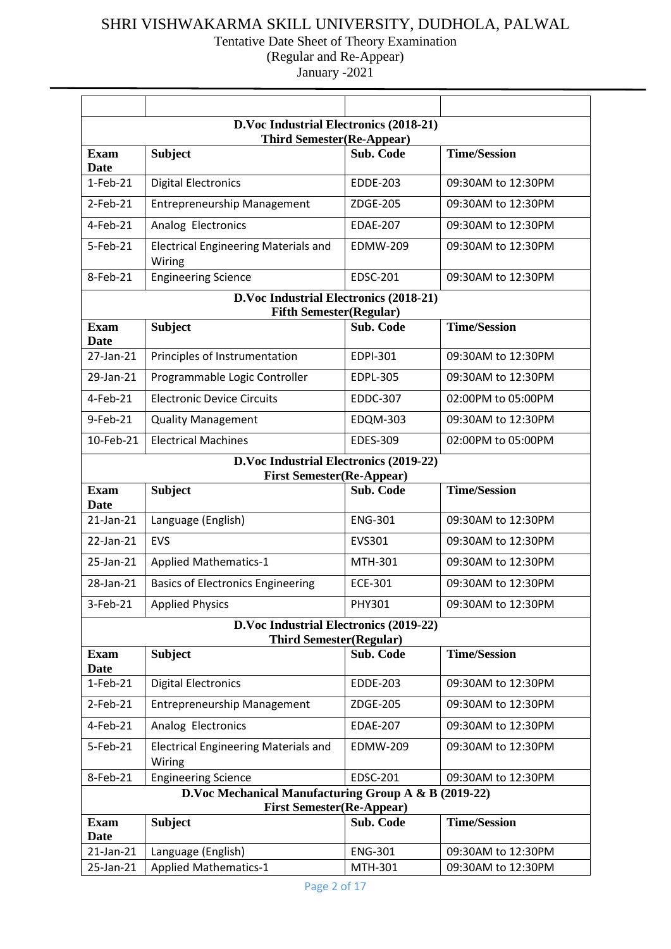| D.Voc Industrial Electronics (2018-21)                                                                |                                                                                          |                  |                     |  |  |  |
|-------------------------------------------------------------------------------------------------------|------------------------------------------------------------------------------------------|------------------|---------------------|--|--|--|
| <b>Third Semester(Re-Appear)</b><br><b>Time/Session</b><br><b>Subject</b><br>Sub. Code<br><b>Exam</b> |                                                                                          |                  |                     |  |  |  |
| <b>Date</b>                                                                                           |                                                                                          |                  |                     |  |  |  |
| $1-Feb-21$                                                                                            | <b>Digital Electronics</b>                                                               | <b>EDDE-203</b>  | 09:30AM to 12:30PM  |  |  |  |
| $2$ -Feb-21                                                                                           | <b>Entrepreneurship Management</b>                                                       | ZDGE-205         | 09:30AM to 12:30PM  |  |  |  |
| $4-Feb-21$                                                                                            | Analog Electronics                                                                       | <b>EDAE-207</b>  | 09:30AM to 12:30PM  |  |  |  |
| 5-Feb-21                                                                                              | <b>Electrical Engineering Materials and</b><br>Wiring                                    | <b>EDMW-209</b>  | 09:30AM to 12:30PM  |  |  |  |
| 8-Feb-21                                                                                              | <b>Engineering Science</b>                                                               | <b>EDSC-201</b>  | 09:30AM to 12:30PM  |  |  |  |
|                                                                                                       | D.Voc Industrial Electronics (2018-21)                                                   |                  |                     |  |  |  |
| Exam                                                                                                  | <b>Fifth Semester(Regular)</b><br><b>Subject</b>                                         | <b>Sub. Code</b> | <b>Time/Session</b> |  |  |  |
| <b>Date</b>                                                                                           |                                                                                          |                  |                     |  |  |  |
| 27-Jan-21                                                                                             | Principles of Instrumentation                                                            | <b>EDPI-301</b>  | 09:30AM to 12:30PM  |  |  |  |
| 29-Jan-21                                                                                             | Programmable Logic Controller                                                            | <b>EDPL-305</b>  | 09:30AM to 12:30PM  |  |  |  |
| 4-Feb-21                                                                                              | <b>Electronic Device Circuits</b>                                                        | <b>EDDC-307</b>  | 02:00PM to 05:00PM  |  |  |  |
| 9-Feb-21                                                                                              | <b>Quality Management</b>                                                                | <b>EDQM-303</b>  | 09:30AM to 12:30PM  |  |  |  |
| 10-Feb-21                                                                                             | <b>Electrical Machines</b>                                                               | <b>EDES-309</b>  | 02:00PM to 05:00PM  |  |  |  |
|                                                                                                       | D.Voc Industrial Electronics (2019-22)                                                   |                  |                     |  |  |  |
| <b>Exam</b>                                                                                           | <b>First Semester(Re-Appear)</b><br><b>Subject</b>                                       | <b>Sub. Code</b> | <b>Time/Session</b> |  |  |  |
| Date                                                                                                  |                                                                                          |                  |                     |  |  |  |
| $21$ -Jan- $21$                                                                                       | Language (English)                                                                       | <b>ENG-301</b>   | 09:30AM to 12:30PM  |  |  |  |
| 22-Jan-21                                                                                             | <b>EVS</b>                                                                               | <b>EVS301</b>    | 09:30AM to 12:30PM  |  |  |  |
| 25-Jan-21                                                                                             | <b>Applied Mathematics-1</b>                                                             | MTH-301          | 09:30AM to 12:30PM  |  |  |  |
| 28-Jan-21                                                                                             | <b>Basics of Electronics Engineering</b>                                                 | <b>ECE-301</b>   | 09:30AM to 12:30PM  |  |  |  |
| 3-Feb-21                                                                                              | <b>Applied Physics</b>                                                                   | PHY301           | 09:30AM to 12:30PM  |  |  |  |
|                                                                                                       | D.Voc Industrial Electronics (2019-22)                                                   |                  |                     |  |  |  |
| <b>Exam</b>                                                                                           | <b>Third Semester(Regular)</b>                                                           | Sub. Code        | <b>Time/Session</b> |  |  |  |
| <b>Date</b>                                                                                           | <b>Subject</b>                                                                           |                  |                     |  |  |  |
| $1-Feb-21$                                                                                            | <b>Digital Electronics</b>                                                               | <b>EDDE-203</b>  | 09:30AM to 12:30PM  |  |  |  |
| $2$ -Feb-21                                                                                           | <b>Entrepreneurship Management</b>                                                       | ZDGE-205         | 09:30AM to 12:30PM  |  |  |  |
| 4-Feb-21                                                                                              | Analog Electronics                                                                       | <b>EDAE-207</b>  | 09:30AM to 12:30PM  |  |  |  |
| 5-Feb-21                                                                                              | <b>Electrical Engineering Materials and</b><br>Wiring                                    | <b>EDMW-209</b>  | 09:30AM to 12:30PM  |  |  |  |
| 8-Feb-21                                                                                              | <b>Engineering Science</b>                                                               | <b>EDSC-201</b>  | 09:30AM to 12:30PM  |  |  |  |
|                                                                                                       | D.Voc Mechanical Manufacturing Group A & B (2019-22)<br><b>First Semester(Re-Appear)</b> |                  |                     |  |  |  |
| <b>Exam</b>                                                                                           | <b>Subject</b>                                                                           | Sub. Code        | <b>Time/Session</b> |  |  |  |
|                                                                                                       |                                                                                          |                  |                     |  |  |  |
| <b>Date</b>                                                                                           |                                                                                          |                  |                     |  |  |  |
| 21-Jan-21                                                                                             | Language (English)                                                                       | <b>ENG-301</b>   | 09:30AM to 12:30PM  |  |  |  |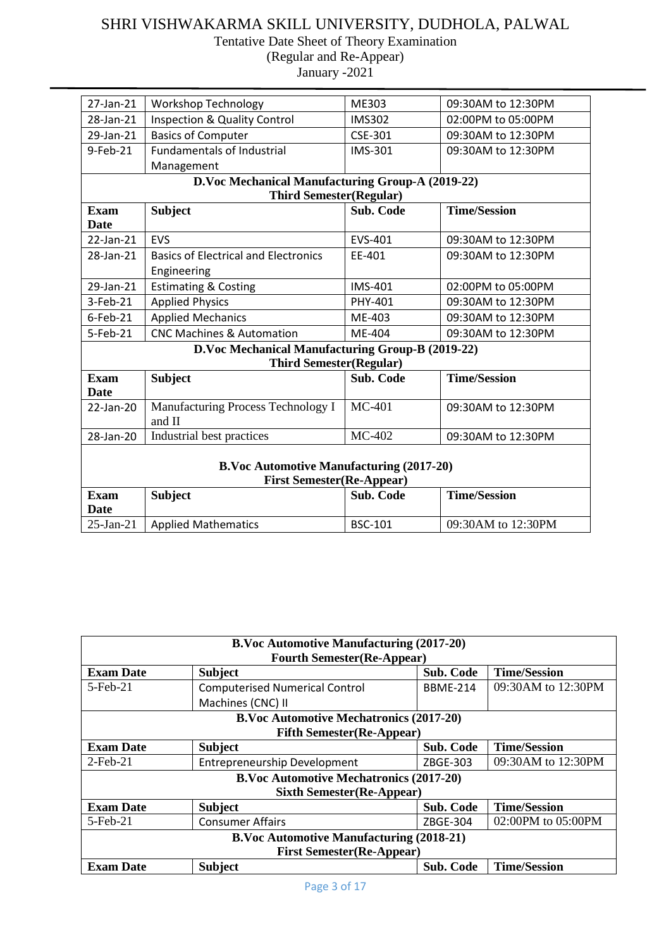Tentative Date Sheet of Theory Examination

(Regular and Re-Appear)

| 27-Jan-21    | <b>Workshop Technology</b>                       | ME303            | 09:30AM to 12:30PM  |
|--------------|--------------------------------------------------|------------------|---------------------|
| 28-Jan-21    | <b>Inspection &amp; Quality Control</b>          | <b>IMS302</b>    | 02:00PM to 05:00PM  |
| 29-Jan-21    | <b>Basics of Computer</b>                        | <b>CSE-301</b>   | 09:30AM to 12:30PM  |
| 9-Feb-21     | <b>Fundamentals of Industrial</b>                | <b>IMS-301</b>   | 09:30AM to 12:30PM  |
|              | Management                                       |                  |                     |
|              | D.Voc Mechanical Manufacturing Group-A (2019-22) |                  |                     |
|              | <b>Third Semester(Regular)</b>                   |                  |                     |
| <b>Exam</b>  | <b>Subject</b>                                   | Sub. Code        | <b>Time/Session</b> |
| <b>Date</b>  |                                                  |                  |                     |
| 22-Jan-21    | <b>EVS</b>                                       | EVS-401          | 09:30AM to 12:30PM  |
| 28-Jan-21    | <b>Basics of Electrical and Electronics</b>      | EE-401           | 09:30AM to 12:30PM  |
|              | Engineering                                      |                  |                     |
| 29-Jan-21    | <b>Estimating &amp; Costing</b>                  | <b>IMS-401</b>   | 02:00PM to 05:00PM  |
| 3-Feb-21     | <b>Applied Physics</b>                           | PHY-401          | 09:30AM to 12:30PM  |
| $6$ -Feb-21  | <b>Applied Mechanics</b>                         | ME-403           | 09:30AM to 12:30PM  |
| 5-Feb-21     | <b>CNC Machines &amp; Automation</b>             | ME-404           | 09:30AM to 12:30PM  |
|              | D.Voc Mechanical Manufacturing Group-B (2019-22) |                  |                     |
|              | <b>Third Semester(Regular)</b>                   |                  |                     |
| <b>Exam</b>  | <b>Subject</b>                                   | <b>Sub. Code</b> | <b>Time/Session</b> |
| <b>Date</b>  |                                                  |                  |                     |
| 22-Jan-20    | Manufacturing Process Technology I               | $MC-401$         | 09:30AM to 12:30PM  |
|              | and II                                           |                  |                     |
| 28-Jan-20    | Industrial best practices                        | MC-402           | 09:30AM to 12:30PM  |
|              |                                                  |                  |                     |
|              | <b>B.Voc Automotive Manufacturing (2017-20)</b>  |                  |                     |
|              | <b>First Semester(Re-Appear)</b>                 |                  |                     |
| <b>Exam</b>  | <b>Subject</b>                                   | <b>Sub. Code</b> | <b>Time/Session</b> |
| <b>Date</b>  |                                                  |                  |                     |
| $25$ -Jan-21 | <b>Applied Mathematics</b>                       | <b>BSC-101</b>   | 09:30AM to 12:30PM  |

| <b>B.Voc Automotive Manufacturing (2017-20)</b><br><b>Fourth Semester (Re-Appear)</b> |                                                           |                  |                     |  |  |
|---------------------------------------------------------------------------------------|-----------------------------------------------------------|------------------|---------------------|--|--|
| <b>Exam Date</b>                                                                      | <b>Subject</b>                                            | <b>Sub. Code</b> | <b>Time/Session</b> |  |  |
| $5$ -Feb $-21$                                                                        | <b>Computerised Numerical Control</b>                     | <b>BBME-214</b>  | 09:30AM to 12:30PM  |  |  |
|                                                                                       | Machines (CNC) II                                         |                  |                     |  |  |
|                                                                                       | <b>B.Voc Automotive Mechatronics (2017-20)</b>            |                  |                     |  |  |
|                                                                                       | <b>Fifth Semester (Re-Appear)</b>                         |                  |                     |  |  |
| <b>Exam Date</b>                                                                      | <b>Subject</b>                                            | <b>Sub. Code</b> | <b>Time/Session</b> |  |  |
| $2$ -Feb-21                                                                           | <b>Entrepreneurship Development</b>                       | ZBGE-303         | 09:30AM to 12:30PM  |  |  |
|                                                                                       | <b>B.Voc Automotive Mechatronics (2017-20)</b>            |                  |                     |  |  |
|                                                                                       | <b>Sixth Semester (Re-Appear)</b>                         |                  |                     |  |  |
| <b>Exam Date</b>                                                                      | <b>Subject</b>                                            | <b>Sub. Code</b> | <b>Time/Session</b> |  |  |
| $5$ -Feb $-21$                                                                        | <b>Consumer Affairs</b>                                   | ZBGE-304         | 02:00PM to 05:00PM  |  |  |
| <b>B.Voc Automotive Manufacturing (2018-21)</b>                                       |                                                           |                  |                     |  |  |
| <b>First Semester(Re-Appear)</b>                                                      |                                                           |                  |                     |  |  |
| <b>Exam Date</b>                                                                      | <b>Subject</b><br><b>Sub. Code</b><br><b>Time/Session</b> |                  |                     |  |  |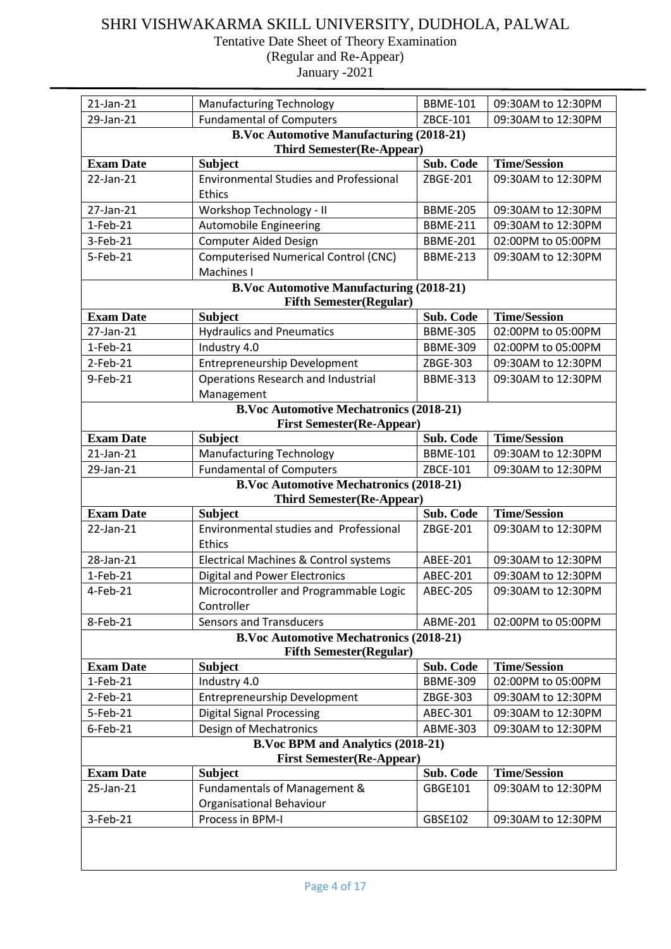Tentative Date Sheet of Theory Examination

(Regular and Re-Appear) January -2021

| 21-Jan-21        | <b>Manufacturing Technology</b>                                                     | <b>BBME-101</b> | 09:30AM to 12:30PM  |  |
|------------------|-------------------------------------------------------------------------------------|-----------------|---------------------|--|
| 29-Jan-21        | <b>Fundamental of Computers</b>                                                     | ZBCE-101        | 09:30AM to 12:30PM  |  |
|                  | <b>B.Voc Automotive Manufacturing (2018-21)</b><br><b>Third Semester(Re-Appear)</b> |                 |                     |  |
| <b>Exam Date</b> | <b>Subject</b>                                                                      | Sub. Code       | <b>Time/Session</b> |  |
| 22-Jan-21        | <b>Environmental Studies and Professional</b><br>Ethics                             | ZBGE-201        | 09:30AM to 12:30PM  |  |
| 27-Jan-21        | Workshop Technology - II                                                            | <b>BBME-205</b> | 09:30AM to 12:30PM  |  |
| $1-Feb-21$       | <b>Automobile Engineering</b>                                                       | <b>BBME-211</b> | 09:30AM to 12:30PM  |  |
| 3-Feb-21         | <b>Computer Aided Design</b>                                                        | <b>BBME-201</b> | 02:00PM to 05:00PM  |  |
| 5-Feb-21         | <b>Computerised Numerical Control (CNC)</b><br>Machines I                           | <b>BBME-213</b> | 09:30AM to 12:30PM  |  |
|                  | <b>B.Voc Automotive Manufacturing (2018-21)</b>                                     |                 |                     |  |
| <b>Exam Date</b> | <b>Fifth Semester(Regular)</b><br><b>Subject</b>                                    | Sub. Code       | <b>Time/Session</b> |  |
| 27-Jan-21        | <b>Hydraulics and Pneumatics</b>                                                    | <b>BBME-305</b> | 02:00PM to 05:00PM  |  |
| $1-Feb-21$       | Industry 4.0                                                                        | <b>BBME-309</b> | 02:00PM to 05:00PM  |  |
| 2-Feb-21         | <b>Entrepreneurship Development</b>                                                 | ZBGE-303        | 09:30AM to 12:30PM  |  |
| 9-Feb-21         | Operations Research and Industrial                                                  | <b>BBME-313</b> | 09:30AM to 12:30PM  |  |
|                  | Management                                                                          |                 |                     |  |
|                  | <b>B.Voc Automotive Mechatronics (2018-21)</b>                                      |                 |                     |  |
|                  | <b>First Semester(Re-Appear)</b>                                                    |                 |                     |  |
| <b>Exam Date</b> | <b>Subject</b>                                                                      | Sub. Code       | <b>Time/Session</b> |  |
| 21-Jan-21        | <b>Manufacturing Technology</b>                                                     | <b>BBME-101</b> | 09:30AM to 12:30PM  |  |
| 29-Jan-21        | <b>Fundamental of Computers</b>                                                     | ZBCE-101        | 09:30AM to 12:30PM  |  |
|                  | <b>B.Voc Automotive Mechatronics (2018-21)</b>                                      |                 |                     |  |
|                  | <b>Third Semester(Re-Appear)</b>                                                    |                 |                     |  |
| <b>Exam Date</b> | <b>Subject</b>                                                                      | Sub. Code       | <b>Time/Session</b> |  |
| 22-Jan-21        | Environmental studies and Professional<br>Ethics                                    | ZBGE-201        | 09:30AM to 12:30PM  |  |
| 28-Jan-21        | Electrical Machines & Control systems                                               | ABEE-201        | 09:30AM to 12:30PM  |  |
| $1-Feb-21$       | <b>Digital and Power Electronics</b>                                                | <b>ABEC-201</b> | 09:30AM to 12:30PM  |  |
| 4-Feb-21         | Microcontroller and Programmable Logic<br>Controller                                | <b>ABEC-205</b> | 09:30AM to 12:30PM  |  |
| 8-Feb-21         | <b>Sensors and Transducers</b>                                                      | <b>ABME-201</b> | 02:00PM to 05:00PM  |  |
|                  | <b>B.Voc Automotive Mechatronics (2018-21)</b><br><b>Fifth Semester(Regular)</b>    |                 |                     |  |
| <b>Exam Date</b> | <b>Subject</b>                                                                      | Sub. Code       | <b>Time/Session</b> |  |
| 1-Feb-21         | Industry 4.0                                                                        | <b>BBME-309</b> | 02:00PM to 05:00PM  |  |
| $2$ -Feb-21      | <b>Entrepreneurship Development</b>                                                 | ZBGE-303        | 09:30AM to 12:30PM  |  |
| 5-Feb-21         | <b>Digital Signal Processing</b>                                                    | ABEC-301        | 09:30AM to 12:30PM  |  |
| $6$ -Feb-21      | Design of Mechatronics                                                              | <b>ABME-303</b> | 09:30AM to 12:30PM  |  |
|                  | <b>B.Voc BPM and Analytics (2018-21)</b>                                            |                 |                     |  |
|                  | <b>First Semester(Re-Appear)</b>                                                    |                 |                     |  |
| <b>Exam Date</b> | <b>Subject</b>                                                                      | Sub. Code       | <b>Time/Session</b> |  |
| 25-Jan-21        | Fundamentals of Management &<br>Organisational Behaviour                            | GBGE101         | 09:30AM to 12:30PM  |  |
| 3-Feb-21         | Process in BPM-I                                                                    | GBSE102         | 09:30AM to 12:30PM  |  |
|                  |                                                                                     |                 |                     |  |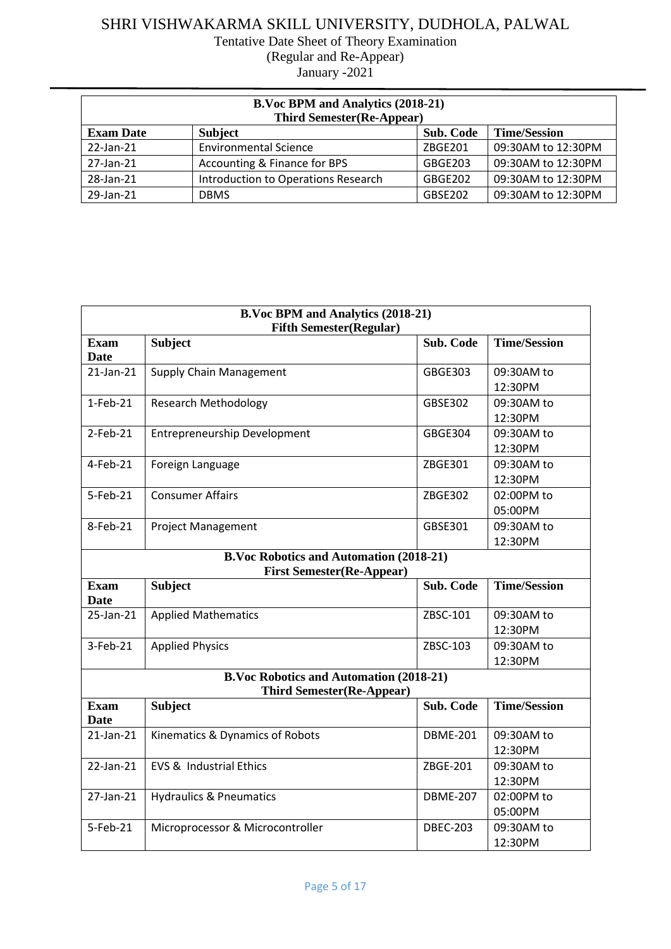| <b>B.Voc BPM and Analytics (2018-21)</b><br><b>Third Semester(Re-Appear)</b> |                                     |                  |                     |  |
|------------------------------------------------------------------------------|-------------------------------------|------------------|---------------------|--|
| <b>Exam Date</b>                                                             | <b>Subject</b>                      | <b>Sub. Code</b> | <b>Time/Session</b> |  |
| 22-Jan-21                                                                    | <b>Environmental Science</b>        | ZBGE201          | 09:30AM to 12:30PM  |  |
| 27-Jan-21                                                                    | Accounting & Finance for BPS        | GBGE203          | 09:30AM to 12:30PM  |  |
| 28-Jan-21                                                                    | Introduction to Operations Research | GBGE202          | 09:30AM to 12:30PM  |  |
| 29-Jan-21                                                                    | <b>DBMS</b>                         | GBSE202          | 09:30AM to 12:30PM  |  |

| <b>B.Voc BPM and Analytics (2018-21)</b><br><b>Fifth Semester(Regular)</b>         |                                                                                    |                  |                       |
|------------------------------------------------------------------------------------|------------------------------------------------------------------------------------|------------------|-----------------------|
| <b>Exam</b><br><b>Date</b>                                                         | <b>Subject</b>                                                                     | Sub. Code        | <b>Time/Session</b>   |
| $21$ -Jan- $21$                                                                    | <b>Supply Chain Management</b>                                                     | GBGE303          | 09:30AM to<br>12:30PM |
| $1-Feb-21$                                                                         | <b>Research Methodology</b>                                                        | GBSE302          | 09:30AM to<br>12:30PM |
| $2$ -Feb-21                                                                        | <b>Entrepreneurship Development</b>                                                | <b>GBGE304</b>   | 09:30AM to<br>12:30PM |
| 4-Feb-21                                                                           | Foreign Language                                                                   | ZBGE301          | 09:30AM to<br>12:30PM |
| 5-Feb-21                                                                           | <b>Consumer Affairs</b>                                                            | <b>ZBGE302</b>   | 02:00PM to<br>05:00PM |
| 8-Feb-21                                                                           | <b>Project Management</b>                                                          | GBSE301          | 09:30AM to<br>12:30PM |
| <b>B.Voc Robotics and Automation (2018-21)</b><br><b>First Semester(Re-Appear)</b> |                                                                                    |                  |                       |
| <b>Exam</b><br><b>Date</b>                                                         | <b>Subject</b>                                                                     | <b>Sub. Code</b> | <b>Time/Session</b>   |
| 25-Jan-21                                                                          | <b>Applied Mathematics</b>                                                         | ZBSC-101         | 09:30AM to<br>12:30PM |
| 3-Feb-21                                                                           | <b>Applied Physics</b>                                                             | ZBSC-103         | 09:30AM to<br>12:30PM |
|                                                                                    | <b>B.Voc Robotics and Automation (2018-21)</b><br><b>Third Semester(Re-Appear)</b> |                  |                       |
| <b>Exam</b><br><b>Date</b>                                                         | <b>Subject</b>                                                                     | <b>Sub. Code</b> | <b>Time/Session</b>   |
| $21$ -Jan- $21$                                                                    | Kinematics & Dynamics of Robots                                                    | <b>DBME-201</b>  | 09:30AM to<br>12:30PM |
| $22$ -Jan- $21$                                                                    | <b>EVS &amp; Industrial Ethics</b>                                                 | ZBGE-201         | 09:30AM to<br>12:30PM |
| 27-Jan-21                                                                          | <b>Hydraulics &amp; Pneumatics</b>                                                 | <b>DBME-207</b>  | 02:00PM to<br>05:00PM |
| 5-Feb-21                                                                           | Microprocessor & Microcontroller                                                   | <b>DBEC-203</b>  | 09:30AM to<br>12:30PM |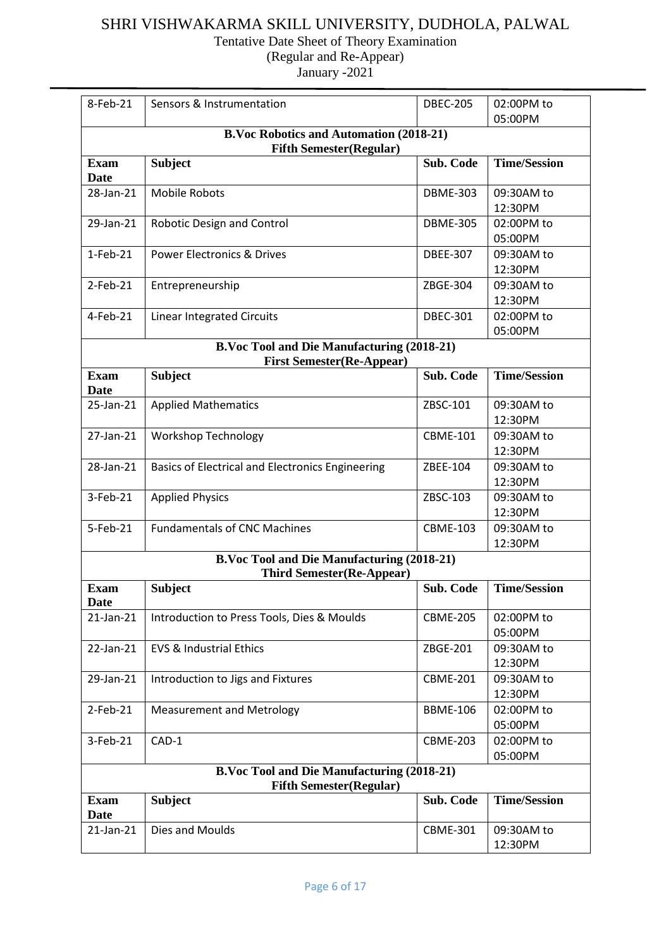Tentative Date Sheet of Theory Examination

(Regular and Re-Appear)

| 8-Feb-21                   | Sensors & Instrumentation                                                             | <b>DBEC-205</b> | 02:00PM to            |  |  |
|----------------------------|---------------------------------------------------------------------------------------|-----------------|-----------------------|--|--|
|                            |                                                                                       |                 | 05:00PM               |  |  |
|                            | <b>B.Voc Robotics and Automation (2018-21)</b><br><b>Fifth Semester (Regular)</b>     |                 |                       |  |  |
| <b>Exam</b><br><b>Date</b> | <b>Subject</b>                                                                        | Sub. Code       | <b>Time/Session</b>   |  |  |
| 28-Jan-21                  | <b>Mobile Robots</b>                                                                  | <b>DBME-303</b> | 09:30AM to<br>12:30PM |  |  |
| 29-Jan-21                  | Robotic Design and Control                                                            | <b>DBME-305</b> | 02:00PM to<br>05:00PM |  |  |
| $1-Feb-21$                 | <b>Power Electronics &amp; Drives</b>                                                 | <b>DBEE-307</b> | 09:30AM to<br>12:30PM |  |  |
| $2$ -Feb-21                | Entrepreneurship                                                                      | ZBGE-304        | 09:30AM to<br>12:30PM |  |  |
| $4-Feb-21$                 | <b>Linear Integrated Circuits</b>                                                     | <b>DBEC-301</b> | 02:00PM to<br>05:00PM |  |  |
|                            | <b>B.Voc Tool and Die Manufacturing (2018-21)</b><br><b>First Semester(Re-Appear)</b> |                 |                       |  |  |
| <b>Exam</b><br>Date        | <b>Subject</b>                                                                        | Sub. Code       | <b>Time/Session</b>   |  |  |
| 25-Jan-21                  | <b>Applied Mathematics</b>                                                            | ZBSC-101        | 09:30AM to<br>12:30PM |  |  |
| 27-Jan-21                  | <b>Workshop Technology</b>                                                            | <b>CBME-101</b> | 09:30AM to<br>12:30PM |  |  |
| 28-Jan-21                  | Basics of Electrical and Electronics Engineering                                      | ZBEE-104        | 09:30AM to<br>12:30PM |  |  |
| 3-Feb-21                   | <b>Applied Physics</b>                                                                | ZBSC-103        | 09:30AM to<br>12:30PM |  |  |
| 5-Feb-21                   | <b>Fundamentals of CNC Machines</b>                                                   | <b>CBME-103</b> | 09:30AM to<br>12:30PM |  |  |
|                            | <b>B.Voc Tool and Die Manufacturing (2018-21)</b>                                     |                 |                       |  |  |
|                            | <b>Third Semester(Re-Appear)</b>                                                      |                 | <b>Time/Session</b>   |  |  |
| <b>Exam</b><br>Date        | <b>Subject</b>                                                                        | Sub. Code       |                       |  |  |
| 21-Jan-21                  | Introduction to Press Tools, Dies & Moulds                                            | <b>CBME-205</b> | 02:00PM to<br>05:00PM |  |  |
| 22-Jan-21                  | <b>EVS &amp; Industrial Ethics</b>                                                    | ZBGE-201        | 09:30AM to<br>12:30PM |  |  |
| 29-Jan-21                  | Introduction to Jigs and Fixtures                                                     | <b>CBME-201</b> | 09:30AM to<br>12:30PM |  |  |
| $2$ -Feb-21                | <b>Measurement and Metrology</b>                                                      | <b>BBME-106</b> | 02:00PM to<br>05:00PM |  |  |
| 3-Feb-21                   | CAD-1                                                                                 | <b>CBME-203</b> | 02:00PM to<br>05:00PM |  |  |
|                            | <b>B.Voc Tool and Die Manufacturing (2018-21)</b><br><b>Fifth Semester (Regular)</b>  |                 |                       |  |  |
| <b>Exam</b><br>Date        | <b>Subject</b>                                                                        | Sub. Code       | <b>Time/Session</b>   |  |  |
| 21-Jan-21                  | Dies and Moulds                                                                       | <b>CBME-301</b> | 09:30AM to<br>12:30PM |  |  |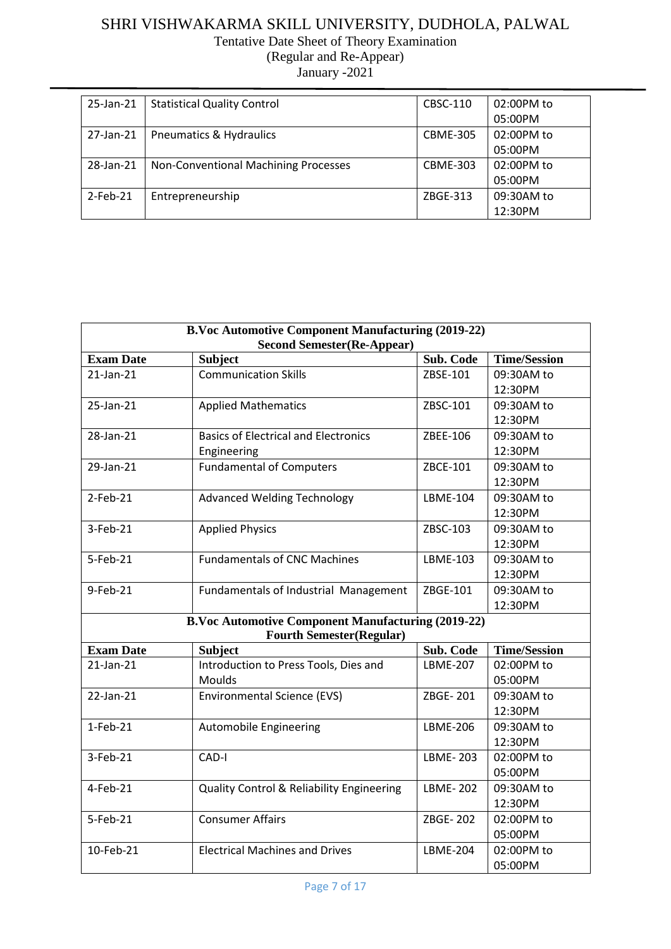### SHRI VISHWAKARMA SKILL UNIVERSITY, DUDHOLA, PALWAL Tentative Date Sheet of Theory Examination

(Regular and Re-Appear)

| 25-Jan-21   | <b>Statistical Quality Control</b>   | CBSC-110        | 02:00PM to |
|-------------|--------------------------------------|-----------------|------------|
|             |                                      |                 | 05:00PM    |
| 27-Jan-21   | <b>Pneumatics &amp; Hydraulics</b>   | <b>CBME-305</b> | 02:00PM to |
|             |                                      |                 | 05:00PM    |
| 28-Jan-21   | Non-Conventional Machining Processes | <b>CBME-303</b> | 02:00PM to |
|             |                                      |                 | 05:00PM    |
| $2$ -Feb-21 | Entrepreneurship                     | ZBGE-313        | 09:30AM to |
|             |                                      |                 | 12:30PM    |

| <b>B.Voc Automotive Component Manufacturing (2019-22)</b><br><b>Second Semester (Re-Appear)</b> |                                                                                              |                 |                     |
|-------------------------------------------------------------------------------------------------|----------------------------------------------------------------------------------------------|-----------------|---------------------|
| <b>Exam Date</b>                                                                                | <b>Subject</b>                                                                               | Sub. Code       | <b>Time/Session</b> |
| $21$ -Jan- $21$                                                                                 | <b>Communication Skills</b>                                                                  | ZBSE-101        | 09:30AM to          |
|                                                                                                 |                                                                                              |                 | 12:30PM             |
| 25-Jan-21                                                                                       | <b>Applied Mathematics</b>                                                                   | ZBSC-101        | 09:30AM to          |
|                                                                                                 |                                                                                              |                 | 12:30PM             |
| 28-Jan-21                                                                                       | <b>Basics of Electrical and Electronics</b>                                                  | ZBEE-106        | 09:30AM to          |
|                                                                                                 | Engineering                                                                                  |                 | 12:30PM             |
| 29-Jan-21                                                                                       | <b>Fundamental of Computers</b>                                                              | ZBCE-101        | 09:30AM to          |
|                                                                                                 |                                                                                              |                 | 12:30PM             |
| $2$ -Feb-21                                                                                     | <b>Advanced Welding Technology</b>                                                           | LBME-104        | 09:30AM to          |
|                                                                                                 |                                                                                              |                 | 12:30PM             |
| 3-Feb-21                                                                                        | <b>Applied Physics</b>                                                                       | ZBSC-103        | 09:30AM to          |
|                                                                                                 |                                                                                              |                 | 12:30PM             |
| 5-Feb-21                                                                                        | <b>Fundamentals of CNC Machines</b>                                                          | LBME-103        | 09:30AM to          |
|                                                                                                 |                                                                                              |                 | 12:30PM             |
| 9-Feb-21                                                                                        | Fundamentals of Industrial Management                                                        | ZBGE-101        | 09:30AM to          |
|                                                                                                 |                                                                                              |                 | 12:30PM             |
|                                                                                                 | <b>B.Voc Automotive Component Manufacturing (2019-22)</b><br><b>Fourth Semester(Regular)</b> |                 |                     |
| <b>Exam Date</b>                                                                                | <b>Subject</b>                                                                               | Sub. Code       | <b>Time/Session</b> |
| $21$ -Jan- $21$                                                                                 | Introduction to Press Tools, Dies and                                                        | <b>LBME-207</b> | 02:00PM to          |
|                                                                                                 | Moulds                                                                                       |                 | 05:00PM             |
| 22-Jan-21                                                                                       | <b>Environmental Science (EVS)</b>                                                           | ZBGE-201        | 09:30AM to          |
|                                                                                                 |                                                                                              |                 | 12:30PM             |
| $1-Feb-21$                                                                                      | <b>Automobile Engineering</b>                                                                | LBME-206        | 09:30AM to          |
|                                                                                                 |                                                                                              |                 | 12:30PM             |
| 3-Feb-21                                                                                        | CAD-I                                                                                        | <b>LBME-203</b> | 02:00PM to          |
|                                                                                                 |                                                                                              |                 | 05:00PM             |
| 4-Feb-21                                                                                        | <b>Quality Control &amp; Reliability Engineering</b>                                         | <b>LBME-202</b> | 09:30AM to          |
|                                                                                                 |                                                                                              |                 | 12:30PM             |
| 5-Feb-21                                                                                        | <b>Consumer Affairs</b>                                                                      | ZBGE-202        | 02:00PM to          |
|                                                                                                 |                                                                                              |                 | 05:00PM             |
| 10-Feb-21                                                                                       | <b>Electrical Machines and Drives</b>                                                        | <b>LBME-204</b> | 02:00PM to          |
|                                                                                                 |                                                                                              |                 | 05:00PM             |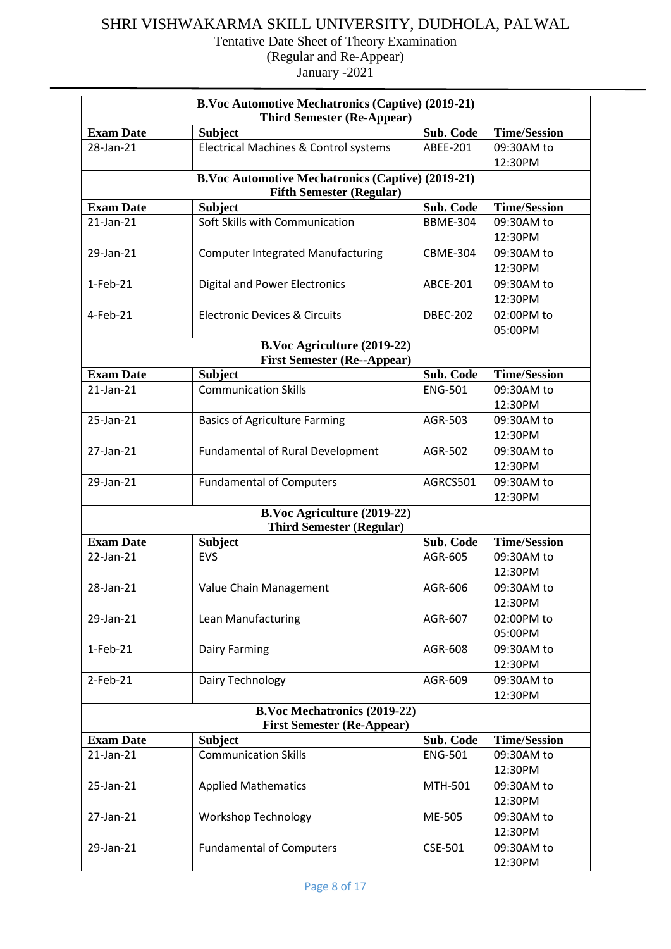| <b>B.Voc Automotive Mechatronics (Captive) (2019-21)</b><br><b>Third Semester (Re-Appear)</b> |                                                                                             |                 |                     |
|-----------------------------------------------------------------------------------------------|---------------------------------------------------------------------------------------------|-----------------|---------------------|
| <b>Exam Date</b>                                                                              | <b>Subject</b>                                                                              | Sub. Code       | <b>Time/Session</b> |
| 28-Jan-21                                                                                     | Electrical Machines & Control systems                                                       | ABEE-201        | 09:30AM to          |
|                                                                                               |                                                                                             |                 | 12:30PM             |
|                                                                                               | <b>B.Voc Automotive Mechatronics (Captive) (2019-21)</b><br><b>Fifth Semester (Regular)</b> |                 |                     |
| <b>Exam Date</b>                                                                              | <b>Subject</b>                                                                              | Sub. Code       | <b>Time/Session</b> |
| 21-Jan-21                                                                                     | Soft Skills with Communication                                                              | <b>BBME-304</b> | 09:30AM to          |
|                                                                                               |                                                                                             |                 | 12:30PM             |
| 29-Jan-21                                                                                     | <b>Computer Integrated Manufacturing</b>                                                    | <b>CBME-304</b> | 09:30AM to          |
|                                                                                               |                                                                                             |                 | 12:30PM             |
| $1-Feb-21$                                                                                    | <b>Digital and Power Electronics</b>                                                        | ABCE-201        | 09:30AM to          |
|                                                                                               |                                                                                             |                 | 12:30PM             |
| 4-Feb-21                                                                                      | <b>Electronic Devices &amp; Circuits</b>                                                    | <b>DBEC-202</b> | 02:00PM to          |
|                                                                                               |                                                                                             |                 | 05:00PM             |
|                                                                                               | <b>B.Voc Agriculture (2019-22)</b>                                                          |                 |                     |
|                                                                                               | <b>First Semester (Re--Appear)</b>                                                          |                 |                     |
| <b>Exam Date</b>                                                                              | <b>Subject</b>                                                                              | Sub. Code       | <b>Time/Session</b> |
| 21-Jan-21                                                                                     | <b>Communication Skills</b>                                                                 | <b>ENG-501</b>  | 09:30AM to          |
|                                                                                               |                                                                                             |                 | 12:30PM             |
| 25-Jan-21                                                                                     | <b>Basics of Agriculture Farming</b>                                                        | AGR-503         | 09:30AM to          |
|                                                                                               |                                                                                             |                 | 12:30PM             |
| 27-Jan-21                                                                                     | <b>Fundamental of Rural Development</b>                                                     | AGR-502         | 09:30AM to          |
|                                                                                               |                                                                                             |                 | 12:30PM             |
| 29-Jan-21                                                                                     | <b>Fundamental of Computers</b>                                                             | AGRCS501        | 09:30AM to          |
|                                                                                               |                                                                                             |                 | 12:30PM             |
|                                                                                               | B.Voc Agriculture (2019-22)<br><b>Third Semester (Regular)</b>                              |                 |                     |
| <b>Exam Date</b>                                                                              | <b>Subject</b>                                                                              | Sub. Code       | <b>Time/Session</b> |
| 22-Jan-21                                                                                     | <b>EVS</b>                                                                                  | AGR-605         | 09:30AM to          |
|                                                                                               |                                                                                             |                 | 12:30PM             |
| 28-Jan-21                                                                                     | Value Chain Management                                                                      | AGR-606         | 09:30AM to          |
|                                                                                               |                                                                                             |                 | 12:30PM             |
| 29-Jan-21                                                                                     | Lean Manufacturing                                                                          | AGR-607         | 02:00PM to          |
|                                                                                               |                                                                                             |                 | 05:00PM             |
| $1-Feb-21$                                                                                    | Dairy Farming                                                                               | AGR-608         | 09:30AM to          |
|                                                                                               |                                                                                             |                 | 12:30PM             |
| 2-Feb-21                                                                                      | Dairy Technology                                                                            | AGR-609         | 09:30AM to          |
|                                                                                               |                                                                                             |                 | 12:30PM             |
|                                                                                               | <b>B.Voc Mechatronics (2019-22)</b><br><b>First Semester (Re-Appear)</b>                    |                 |                     |
| <b>Exam Date</b>                                                                              | <b>Subject</b>                                                                              | Sub. Code       | <b>Time/Session</b> |
| 21-Jan-21                                                                                     | <b>Communication Skills</b>                                                                 | <b>ENG-501</b>  | 09:30AM to          |
|                                                                                               |                                                                                             |                 | 12:30PM             |
| 25-Jan-21                                                                                     | <b>Applied Mathematics</b>                                                                  | MTH-501         | 09:30AM to          |
|                                                                                               |                                                                                             |                 | 12:30PM             |
| 27-Jan-21                                                                                     | <b>Workshop Technology</b>                                                                  | ME-505          | 09:30AM to          |
|                                                                                               |                                                                                             |                 | 12:30PM             |
| 29-Jan-21                                                                                     | <b>Fundamental of Computers</b>                                                             | CSE-501         | 09:30AM to          |
|                                                                                               |                                                                                             |                 | 12:30PM             |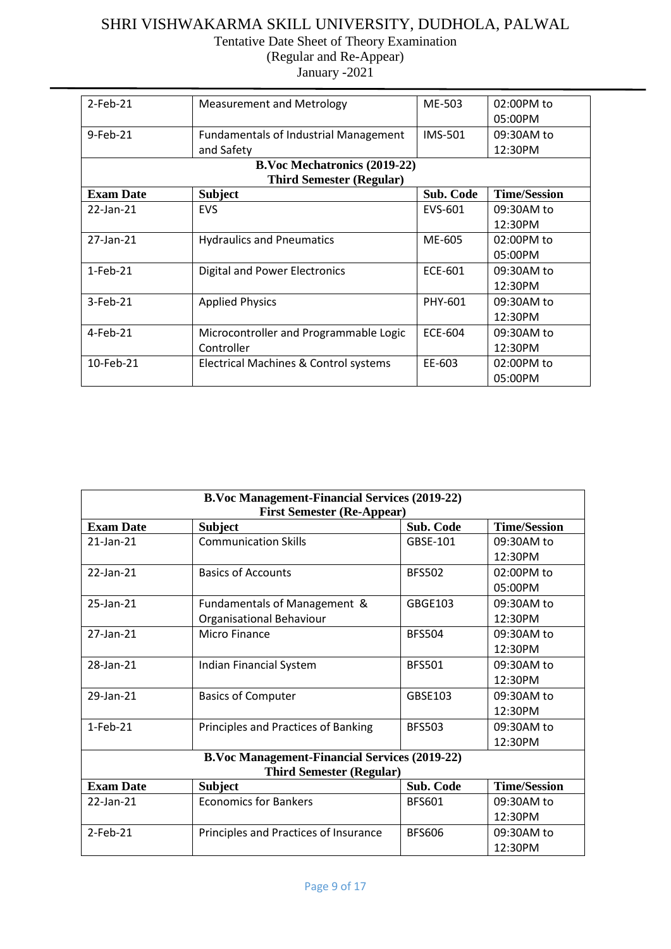## SHRI VISHWAKARMA SKILL UNIVERSITY, DUDHOLA, PALWAL Tentative Date Sheet of Theory Examination

(Regular and Re-Appear) January -2021

| $2$ -Feb-21      | <b>Measurement and Metrology</b>             | ME-503           | 02:00PM to          |
|------------------|----------------------------------------------|------------------|---------------------|
|                  |                                              |                  | 05:00PM             |
| 9-Feb-21         | <b>Fundamentals of Industrial Management</b> | <b>IMS-501</b>   | 09:30AM to          |
|                  | and Safety                                   |                  | 12:30PM             |
|                  | <b>B.Voc Mechatronics (2019-22)</b>          |                  |                     |
|                  | <b>Third Semester (Regular)</b>              |                  |                     |
| <b>Exam Date</b> | <b>Subject</b>                               | <b>Sub. Code</b> | <b>Time/Session</b> |
| 22-Jan-21        | <b>EVS</b>                                   | EVS-601          | 09:30AM to          |
|                  |                                              |                  | 12:30PM             |
| 27-Jan-21        | <b>Hydraulics and Pneumatics</b>             | ME-605           | 02:00PM to          |
|                  |                                              |                  | 05:00PM             |
| $1-Feb-21$       | <b>Digital and Power Electronics</b>         | ECE-601          | 09:30AM to          |
|                  |                                              |                  | 12:30PM             |
| 3-Feb-21         | <b>Applied Physics</b>                       | PHY-601          | 09:30AM to          |
|                  |                                              |                  | 12:30PM             |
| 4-Feb-21         | Microcontroller and Programmable Logic       | ECE-604          | 09:30AM to          |
|                  | Controller                                   |                  | 12:30PM             |
| 10-Feb-21        | Electrical Machines & Control systems        | EE-603           | 02:00PM to          |
|                  |                                              |                  | 05:00PM             |

| <b>B.Voc Management-Financial Services (2019-22)</b> |                                                          |                  |                       |  |
|------------------------------------------------------|----------------------------------------------------------|------------------|-----------------------|--|
| <b>First Semester (Re-Appear)</b>                    |                                                          |                  |                       |  |
| <b>Exam Date</b>                                     | <b>Subject</b>                                           | Sub. Code        | <b>Time/Session</b>   |  |
| $21$ -Jan- $21$                                      | <b>Communication Skills</b>                              | GBSE-101         | 09:30AM to<br>12:30PM |  |
| 22-Jan-21                                            | <b>Basics of Accounts</b>                                | <b>BFS502</b>    | 02:00PM to<br>05:00PM |  |
| 25-Jan-21                                            | Fundamentals of Management &<br>Organisational Behaviour | GBGE103          | 09:30AM to<br>12:30PM |  |
| 27-Jan-21                                            | <b>Micro Finance</b>                                     | <b>BFS504</b>    | 09:30AM to<br>12:30PM |  |
| 28-Jan-21                                            | <b>Indian Financial System</b>                           | <b>BFS501</b>    | 09:30AM to<br>12:30PM |  |
| 29-Jan-21                                            | <b>Basics of Computer</b>                                | GBSE103          | 09:30AM to<br>12:30PM |  |
| 1-Feb-21                                             | Principles and Practices of Banking                      | <b>BFS503</b>    | 09:30AM to<br>12:30PM |  |
|                                                      | <b>B.Voc Management-Financial Services (2019-22)</b>     |                  |                       |  |
| <b>Third Semester (Regular)</b>                      |                                                          |                  |                       |  |
| <b>Exam Date</b>                                     | <b>Subject</b>                                           | <b>Sub. Code</b> | <b>Time/Session</b>   |  |
| 22-Jan-21                                            | <b>Economics for Bankers</b>                             | <b>BFS601</b>    | 09:30AM to<br>12:30PM |  |
| $2$ -Feb-21                                          | Principles and Practices of Insurance                    | <b>BES606</b>    | 09:30AM to<br>12:30PM |  |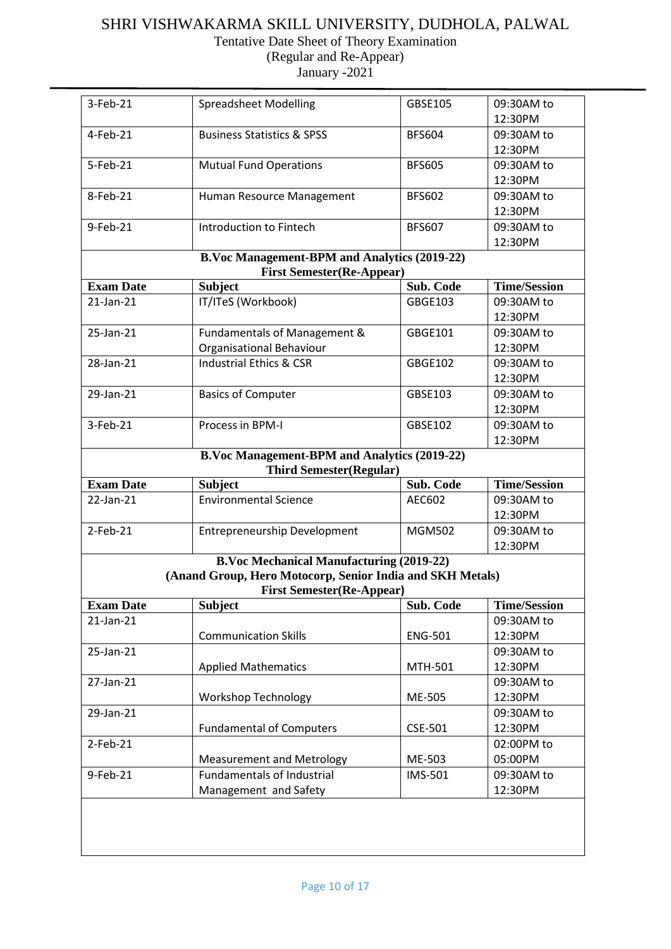| 3-Feb-21         | <b>Spreadsheet Modelling</b>                                                            | GBSE105        | 09:30AM to            |
|------------------|-----------------------------------------------------------------------------------------|----------------|-----------------------|
|                  |                                                                                         |                | 12:30PM               |
| $4-Feb-21$       | <b>Business Statistics &amp; SPSS</b>                                                   | <b>BFS604</b>  | 09:30AM to            |
|                  |                                                                                         |                | 12:30PM               |
| 5-Feb-21         | <b>Mutual Fund Operations</b>                                                           | <b>BFS605</b>  | 09:30AM to            |
|                  |                                                                                         |                | 12:30PM               |
| 8-Feb-21         | Human Resource Management                                                               | <b>BFS602</b>  | 09:30AM to            |
|                  |                                                                                         |                | 12:30PM               |
| 9-Feb-21         | Introduction to Fintech                                                                 | <b>BFS607</b>  | 09:30AM to            |
|                  |                                                                                         |                | 12:30PM               |
|                  | <b>B.Voc Management-BPM and Analytics (2019-22)</b><br><b>First Semester(Re-Appear)</b> |                |                       |
| <b>Exam Date</b> | <b>Subject</b>                                                                          | Sub. Code      | <b>Time/Session</b>   |
| 21-Jan-21        | IT/ITeS (Workbook)                                                                      | <b>GBGE103</b> | 09:30AM to            |
|                  |                                                                                         |                | 12:30PM               |
| 25-Jan-21        | Fundamentals of Management &                                                            | GBGE101        | 09:30AM to            |
|                  | Organisational Behaviour                                                                |                | 12:30PM               |
| 28-Jan-21        | <b>Industrial Ethics &amp; CSR</b>                                                      | <b>GBGE102</b> | 09:30AM to            |
|                  |                                                                                         |                | 12:30PM               |
| 29-Jan-21        | <b>Basics of Computer</b>                                                               | GBSE103        | 09:30AM to            |
|                  |                                                                                         |                | 12:30PM               |
| 3-Feb-21         | Process in BPM-I                                                                        | GBSE102        | 09:30AM to            |
|                  |                                                                                         |                | 12:30PM               |
|                  | <b>B.Voc Management-BPM and Analytics (2019-22)</b><br><b>Third Semester(Regular)</b>   |                |                       |
| <b>Exam Date</b> | <b>Subject</b>                                                                          | Sub. Code      | <b>Time/Session</b>   |
|                  |                                                                                         |                |                       |
|                  |                                                                                         |                |                       |
| 22-Jan-21        | <b>Environmental Science</b>                                                            | AEC602         | 09:30AM to<br>12:30PM |
| $2$ -Feb-21      |                                                                                         | <b>MGM502</b>  | 09:30AM to            |
|                  | <b>Entrepreneurship Development</b>                                                     |                | 12:30PM               |
|                  | <b>B.Voc Mechanical Manufacturing (2019-22)</b>                                         |                |                       |
|                  | (Anand Group, Hero Motocorp, Senior India and SKH Metals)                               |                |                       |
|                  | <b>First Semester(Re-Appear)</b>                                                        |                |                       |
| <b>Exam Date</b> | <b>Subject</b>                                                                          | Sub. Code      | <b>Time/Session</b>   |
| 21-Jan-21        |                                                                                         |                | 09:30AM to            |
|                  | <b>Communication Skills</b>                                                             | <b>ENG-501</b> | 12:30PM               |
| 25-Jan-21        |                                                                                         |                | 09:30AM to            |
|                  | <b>Applied Mathematics</b>                                                              | MTH-501        | 12:30PM               |
| 27-Jan-21        |                                                                                         |                | 09:30AM to            |
|                  | <b>Workshop Technology</b>                                                              | ME-505         | 12:30PM               |
| 29-Jan-21        |                                                                                         |                | 09:30AM to            |
|                  | <b>Fundamental of Computers</b>                                                         | <b>CSE-501</b> | 12:30PM               |
| 2-Feb-21         |                                                                                         |                | 02:00PM to            |
|                  | <b>Measurement and Metrology</b>                                                        | ME-503         | 05:00PM               |
| 9-Feb-21         | <b>Fundamentals of Industrial</b><br>Management and Safety                              | <b>IMS-501</b> | 09:30AM to<br>12:30PM |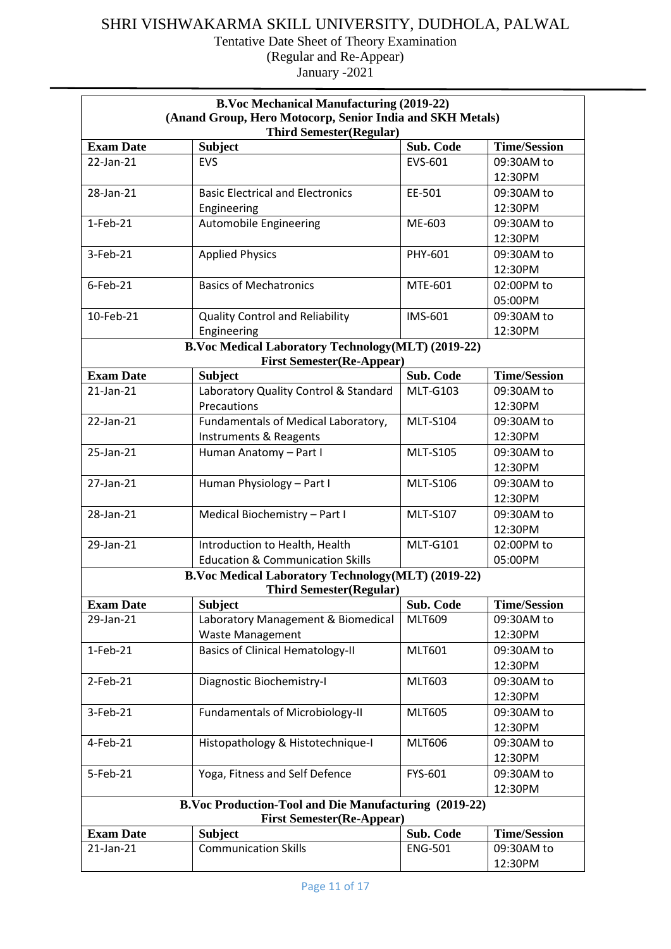| <b>B.Voc Mechanical Manufacturing (2019-22)</b>                                             |                                                       |                 |                     |  |
|---------------------------------------------------------------------------------------------|-------------------------------------------------------|-----------------|---------------------|--|
| (Anand Group, Hero Motocorp, Senior India and SKH Metals)<br><b>Third Semester(Regular)</b> |                                                       |                 |                     |  |
| <b>Exam Date</b>                                                                            | <b>Subject</b>                                        | Sub. Code       | <b>Time/Session</b> |  |
| 22-Jan-21                                                                                   | <b>EVS</b>                                            | EVS-601         | 09:30AM to          |  |
|                                                                                             |                                                       |                 | 12:30PM             |  |
| 28-Jan-21                                                                                   | <b>Basic Electrical and Electronics</b>               | EE-501          | 09:30AM to          |  |
|                                                                                             | Engineering                                           |                 | 12:30PM             |  |
| $1-Feb-21$                                                                                  | <b>Automobile Engineering</b>                         | ME-603          | 09:30AM to          |  |
|                                                                                             |                                                       |                 | 12:30PM             |  |
| 3-Feb-21                                                                                    | <b>Applied Physics</b>                                | PHY-601         | 09:30AM to          |  |
|                                                                                             |                                                       |                 | 12:30PM             |  |
| $6$ -Feb-21                                                                                 | <b>Basics of Mechatronics</b>                         | MTE-601         | 02:00PM to          |  |
|                                                                                             |                                                       |                 | 05:00PM             |  |
| 10-Feb-21                                                                                   | <b>Quality Control and Reliability</b>                | <b>IMS-601</b>  | 09:30AM to          |  |
|                                                                                             | Engineering                                           |                 | 12:30PM             |  |
|                                                                                             | B.Voc Medical Laboratory Technology(MLT) (2019-22)    |                 |                     |  |
|                                                                                             | <b>First Semester(Re-Appear)</b>                      |                 |                     |  |
| <b>Exam Date</b>                                                                            | <b>Subject</b>                                        | Sub. Code       | <b>Time/Session</b> |  |
| $21$ -Jan- $21$                                                                             | Laboratory Quality Control & Standard                 | <b>MLT-G103</b> | 09:30AM to          |  |
|                                                                                             | Precautions                                           |                 | 12:30PM             |  |
| 22-Jan-21                                                                                   | Fundamentals of Medical Laboratory,                   | <b>MLT-S104</b> | 09:30AM to          |  |
|                                                                                             | <b>Instruments &amp; Reagents</b>                     |                 | 12:30PM             |  |
| 25-Jan-21                                                                                   | Human Anatomy - Part I                                | <b>MLT-S105</b> | 09:30AM to          |  |
|                                                                                             |                                                       |                 | 12:30PM             |  |
| 27-Jan-21                                                                                   | Human Physiology - Part I                             | <b>MLT-S106</b> | 09:30AM to          |  |
|                                                                                             |                                                       |                 | 12:30PM             |  |
| 28-Jan-21                                                                                   | Medical Biochemistry - Part I                         | <b>MLT-S107</b> | 09:30AM to          |  |
|                                                                                             |                                                       |                 | 12:30PM             |  |
| 29-Jan-21                                                                                   | Introduction to Health, Health                        | <b>MLT-G101</b> | 02:00PM to          |  |
|                                                                                             | <b>Education &amp; Communication Skills</b>           |                 | 05:00PM             |  |
|                                                                                             | B.Voc Medical Laboratory Technology(MLT) (2019-22)    |                 |                     |  |
|                                                                                             | <b>Third Semester(Regular)</b>                        |                 |                     |  |
| <b>Exam Date</b>                                                                            | <b>Subject</b>                                        | Sub. Code       | <b>Time/Session</b> |  |
| 29-Jan-21                                                                                   | Laboratory Management & Biomedical                    | <b>MLT609</b>   | 09:30AM to          |  |
|                                                                                             | <b>Waste Management</b>                               |                 | 12:30PM             |  |
| $1-Feb-21$                                                                                  | <b>Basics of Clinical Hematology-II</b>               | <b>MLT601</b>   | 09:30AM to          |  |
|                                                                                             |                                                       |                 | 12:30PM             |  |
| $2$ -Feb-21                                                                                 | Diagnostic Biochemistry-I                             | <b>MLT603</b>   | 09:30AM to          |  |
|                                                                                             |                                                       |                 | 12:30PM             |  |
| 3-Feb-21                                                                                    | <b>Fundamentals of Microbiology-II</b>                | <b>MLT605</b>   | 09:30AM to          |  |
|                                                                                             |                                                       |                 | 12:30PM             |  |
| 4-Feb-21                                                                                    | Histopathology & Histotechnique-I                     | <b>MLT606</b>   | 09:30AM to          |  |
|                                                                                             |                                                       |                 | 12:30PM             |  |
| 5-Feb-21                                                                                    | Yoga, Fitness and Self Defence                        | FYS-601         | 09:30AM to          |  |
|                                                                                             |                                                       |                 | 12:30PM             |  |
|                                                                                             | B.Voc Production-Tool and Die Manufacturing (2019-22) |                 |                     |  |
|                                                                                             | <b>First Semester(Re-Appear)</b>                      |                 |                     |  |
| <b>Exam Date</b>                                                                            | <b>Subject</b>                                        | Sub. Code       | <b>Time/Session</b> |  |
| 21-Jan-21                                                                                   | <b>Communication Skills</b>                           | <b>ENG-501</b>  | 09:30AM to          |  |
|                                                                                             |                                                       |                 | 12:30PM             |  |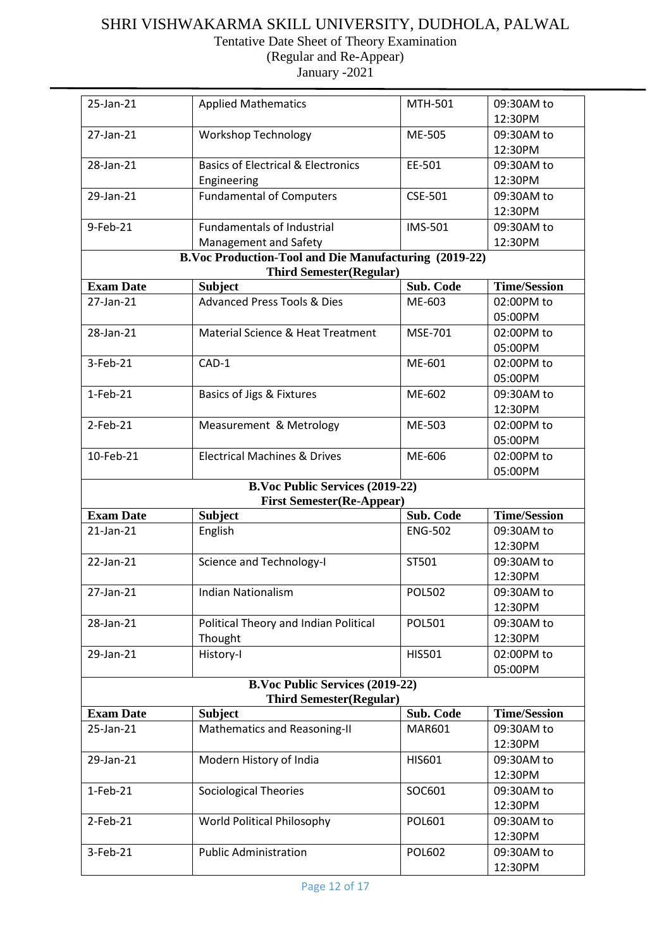| 25-Jan-21        | <b>Applied Mathematics</b>                            | MTH-501        | 09:30AM to          |
|------------------|-------------------------------------------------------|----------------|---------------------|
|                  |                                                       |                | 12:30PM             |
| 27-Jan-21        | <b>Workshop Technology</b>                            | ME-505         | 09:30AM to          |
|                  |                                                       |                | 12:30PM             |
| 28-Jan-21        | <b>Basics of Electrical &amp; Electronics</b>         | EE-501         | 09:30AM to          |
|                  | Engineering                                           |                | 12:30PM             |
| 29-Jan-21        | <b>Fundamental of Computers</b>                       | CSE-501        | 09:30AM to          |
|                  |                                                       |                | 12:30PM             |
| 9-Feb-21         | <b>Fundamentals of Industrial</b>                     | <b>IMS-501</b> | 09:30AM to          |
|                  | Management and Safety                                 |                | 12:30PM             |
|                  | B.Voc Production-Tool and Die Manufacturing (2019-22) |                |                     |
|                  | <b>Third Semester(Regular)</b>                        |                |                     |
| <b>Exam Date</b> | <b>Subject</b>                                        | Sub. Code      | <b>Time/Session</b> |
| 27-Jan-21        | <b>Advanced Press Tools &amp; Dies</b>                | ME-603         | 02:00PM to          |
|                  |                                                       |                | 05:00PM             |
| 28-Jan-21        | Material Science & Heat Treatment                     | MSE-701        | 02:00PM to          |
|                  |                                                       |                | 05:00PM             |
| 3-Feb-21         | CAD-1                                                 | ME-601         | 02:00PM to          |
|                  |                                                       |                | 05:00PM             |
| $1-Feb-21$       | <b>Basics of Jigs &amp; Fixtures</b>                  | ME-602         | 09:30AM to          |
|                  |                                                       |                | 12:30PM             |
| $2$ -Feb-21      | Measurement & Metrology                               | ME-503         | 02:00PM to          |
|                  |                                                       |                | 05:00PM             |
| 10-Feb-21        | <b>Electrical Machines &amp; Drives</b>               | ME-606         | 02:00PM to          |
|                  |                                                       |                | 05:00PM             |
|                  | <b>B.Voc Public Services (2019-22)</b>                |                |                     |
|                  | <b>First Semester(Re-Appear)</b>                      |                |                     |
| <b>Exam Date</b> | <b>Subject</b>                                        | Sub. Code      | <b>Time/Session</b> |
| 21-Jan-21        | English                                               | <b>ENG-502</b> | 09:30AM to          |
|                  |                                                       |                | 12:30PM             |
| 22-Jan-21        | <b>Science and Technology-I</b>                       | ST501          | 09:30AM to          |
|                  |                                                       |                | 12:30PM             |
| 27-Jan-21        | <b>Indian Nationalism</b>                             | <b>POL502</b>  | 09:30AM to          |
|                  |                                                       |                | 12:30PM             |
| 28-Jan-21        | Political Theory and Indian Political                 | <b>POL501</b>  | 09:30AM to          |
|                  | Thought                                               |                | 12:30PM             |
| 29-Jan-21        | History-I                                             | HIS501         | 02:00PM to          |
|                  |                                                       |                | 05:00PM             |
|                  | <b>B.Voc Public Services (2019-22)</b>                |                |                     |
|                  | <b>Third Semester(Regular)</b>                        |                |                     |
| <b>Exam Date</b> | <b>Subject</b>                                        | Sub. Code      | <b>Time/Session</b> |
| 25-Jan-21        | Mathematics and Reasoning-II                          | <b>MAR601</b>  | 09:30AM to          |
|                  |                                                       |                | 12:30PM             |
| 29-Jan-21        | Modern History of India                               | HIS601         | 09:30AM to          |
|                  |                                                       |                | 12:30PM             |
| $1-Feb-21$       | <b>Sociological Theories</b>                          | SOC601         | 09:30AM to          |
|                  |                                                       |                | 12:30PM             |
| $2$ -Feb-21      | World Political Philosophy                            | POL601         | 09:30AM to          |
|                  |                                                       |                | 12:30PM             |
| 3-Feb-21         | <b>Public Administration</b>                          | POL602         | 09:30AM to          |
|                  |                                                       |                | 12:30PM             |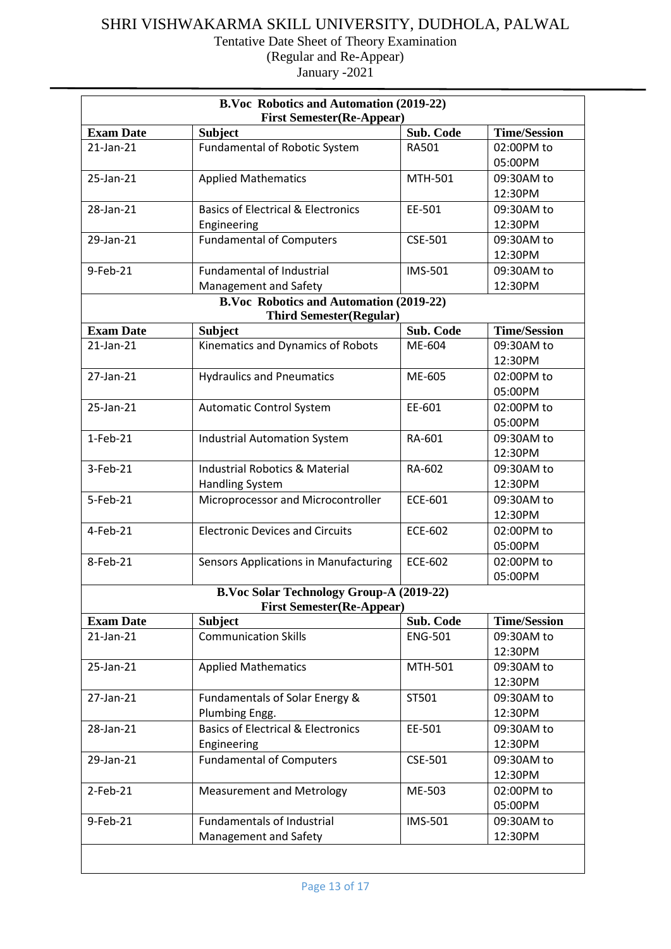| B.Voc Robotics and Automation (2019-22)<br><b>First Semester(Re-Appear)</b> |                                                                                  |                  |                       |
|-----------------------------------------------------------------------------|----------------------------------------------------------------------------------|------------------|-----------------------|
| <b>Exam Date</b>                                                            | <b>Subject</b>                                                                   | <b>Sub. Code</b> | <b>Time/Session</b>   |
| $21$ -Jan- $21$                                                             | Fundamental of Robotic System                                                    | RA501            | 02:00PM to            |
|                                                                             |                                                                                  |                  | 05:00PM               |
| 25-Jan-21                                                                   | <b>Applied Mathematics</b>                                                       | MTH-501          | 09:30AM to            |
|                                                                             |                                                                                  |                  | 12:30PM               |
| 28-Jan-21                                                                   | <b>Basics of Electrical &amp; Electronics</b>                                    | EE-501           | 09:30AM to            |
|                                                                             | Engineering                                                                      |                  | 12:30PM               |
| 29-Jan-21                                                                   | <b>Fundamental of Computers</b>                                                  | <b>CSE-501</b>   | 09:30AM to            |
|                                                                             |                                                                                  |                  | 12:30PM               |
| 9-Feb-21                                                                    | <b>Fundamental of Industrial</b>                                                 | <b>IMS-501</b>   | 09:30AM to            |
|                                                                             | Management and Safety                                                            |                  | 12:30PM               |
|                                                                             | <b>B.Voc Robotics and Automation (2019-22)</b><br><b>Third Semester(Regular)</b> |                  |                       |
| <b>Exam Date</b>                                                            | <b>Subject</b>                                                                   | Sub. Code        | <b>Time/Session</b>   |
| $21$ -Jan- $21$                                                             | Kinematics and Dynamics of Robots                                                | ME-604           | 09:30AM to            |
|                                                                             |                                                                                  |                  | 12:30PM               |
| 27-Jan-21                                                                   | <b>Hydraulics and Pneumatics</b>                                                 | ME-605           | 02:00PM to            |
|                                                                             |                                                                                  |                  | 05:00PM               |
| 25-Jan-21                                                                   | <b>Automatic Control System</b>                                                  | EE-601           | 02:00PM to            |
|                                                                             |                                                                                  |                  | 05:00PM               |
| $1-Feb-21$                                                                  | <b>Industrial Automation System</b>                                              | RA-601           | 09:30AM to            |
|                                                                             |                                                                                  |                  | 12:30PM               |
| 3-Feb-21                                                                    | <b>Industrial Robotics &amp; Material</b>                                        | RA-602           | 09:30AM to            |
|                                                                             | <b>Handling System</b>                                                           |                  | 12:30PM               |
| 5-Feb-21                                                                    | Microprocessor and Microcontroller                                               | <b>ECE-601</b>   | 09:30AM to            |
|                                                                             |                                                                                  |                  | 12:30PM               |
| 4-Feb-21                                                                    | <b>Electronic Devices and Circuits</b>                                           | <b>ECE-602</b>   | 02:00PM to            |
|                                                                             |                                                                                  |                  | 05:00PM               |
| 8-Feb-21                                                                    | <b>Sensors Applications in Manufacturing</b>                                     | <b>ECE-602</b>   | 02:00PM to            |
|                                                                             |                                                                                  |                  | 05:00PM               |
|                                                                             | <b>B.Voc Solar Technology Group-A (2019-22)</b>                                  |                  |                       |
| <b>Exam Date</b>                                                            | <b>First Semester(Re-Appear)</b><br><b>Subject</b>                               | Sub. Code        | <b>Time/Session</b>   |
| 21-Jan-21                                                                   | <b>Communication Skills</b>                                                      | <b>ENG-501</b>   | 09:30AM to            |
|                                                                             |                                                                                  |                  | 12:30PM               |
| 25-Jan-21                                                                   | <b>Applied Mathematics</b>                                                       | MTH-501          | 09:30AM to            |
|                                                                             |                                                                                  |                  | 12:30PM               |
| 27-Jan-21                                                                   | Fundamentals of Solar Energy &                                                   | ST501            | 09:30AM to            |
|                                                                             | Plumbing Engg.                                                                   |                  | 12:30PM               |
| 28-Jan-21                                                                   | <b>Basics of Electrical &amp; Electronics</b>                                    | EE-501           | 09:30AM to            |
|                                                                             | Engineering                                                                      |                  | 12:30PM               |
|                                                                             | <b>Fundamental of Computers</b>                                                  | <b>CSE-501</b>   | 09:30AM to            |
|                                                                             |                                                                                  |                  | 12:30PM               |
| 29-Jan-21                                                                   |                                                                                  |                  |                       |
|                                                                             |                                                                                  |                  |                       |
| 2-Feb-21                                                                    | <b>Measurement and Metrology</b>                                                 | ME-503           | 02:00PM to            |
|                                                                             |                                                                                  |                  | 05:00PM               |
| 9-Feb-21                                                                    | <b>Fundamentals of Industrial</b><br>Management and Safety                       | IMS-501          | 09:30AM to<br>12:30PM |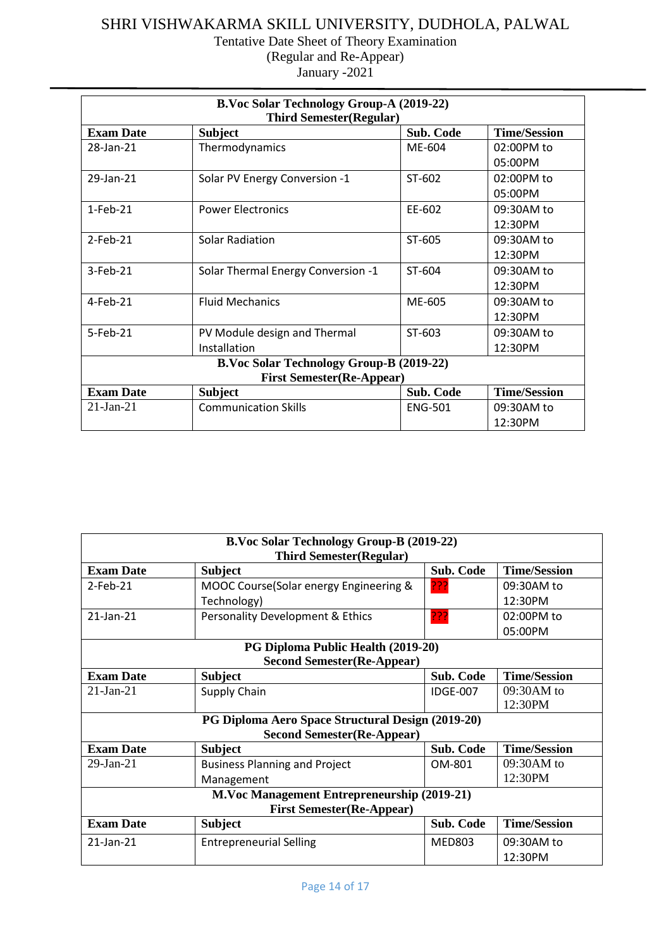| <b>B.Voc Solar Technology Group-A (2019-22)</b><br><b>Third Semester(Regular)</b> |                                    |                  |                     |  |
|-----------------------------------------------------------------------------------|------------------------------------|------------------|---------------------|--|
| <b>Exam Date</b>                                                                  | <b>Subject</b>                     | <b>Sub. Code</b> | <b>Time/Session</b> |  |
| 28-Jan-21                                                                         | Thermodynamics                     | ME-604           | 02:00PM to          |  |
|                                                                                   |                                    |                  | 05:00PM             |  |
| 29-Jan-21                                                                         | Solar PV Energy Conversion -1      | ST-602           | 02:00PM to          |  |
|                                                                                   |                                    |                  | 05:00PM             |  |
| $1-Feh-21$                                                                        | <b>Power Electronics</b>           | EE-602           | 09:30AM to          |  |
|                                                                                   |                                    |                  | 12:30PM             |  |
| $2$ -Feb-21                                                                       | <b>Solar Radiation</b>             | ST-605           | 09:30AM to          |  |
|                                                                                   |                                    |                  | 12:30PM             |  |
| $3-Feb-21$                                                                        | Solar Thermal Energy Conversion -1 | ST-604           | 09:30AM to          |  |
|                                                                                   |                                    |                  | 12:30PM             |  |
| $4-Feb-21$                                                                        | <b>Fluid Mechanics</b>             | ME-605           | 09:30AM to          |  |
|                                                                                   |                                    |                  | 12:30PM             |  |
| 5-Feb-21                                                                          | PV Module design and Thermal       | ST-603           | 09:30AM to          |  |
|                                                                                   | Installation                       |                  | 12:30PM             |  |
| <b>B.Voc Solar Technology Group-B (2019-22)</b>                                   |                                    |                  |                     |  |
| <b>First Semester(Re-Appear)</b>                                                  |                                    |                  |                     |  |
| <b>Exam Date</b>                                                                  | <b>Subject</b>                     | <b>Sub. Code</b> | <b>Time/Session</b> |  |
| $21-Jan-21$                                                                       | <b>Communication Skills</b>        | <b>ENG-501</b>   | 09:30AM to          |  |
|                                                                                   |                                    |                  | 12:30PM             |  |

| <b>B.Voc Solar Technology Group-B (2019-22)</b><br><b>Third Semester(Regular)</b> |                                                    |                  |                     |  |
|-----------------------------------------------------------------------------------|----------------------------------------------------|------------------|---------------------|--|
| <b>Exam Date</b>                                                                  | <b>Subject</b>                                     | <b>Sub. Code</b> | <b>Time/Session</b> |  |
| $2$ -Feb-21                                                                       | MOOC Course(Solar energy Engineering &             | ???              | 09:30AM to          |  |
|                                                                                   | Technology)                                        |                  | 12:30PM             |  |
| $21$ -Jan- $21$                                                                   | <b>Personality Development &amp; Ethics</b>        | ???              | 02:00PM to          |  |
|                                                                                   |                                                    |                  | 05:00PM             |  |
|                                                                                   | PG Diploma Public Health (2019-20)                 |                  |                     |  |
|                                                                                   | <b>Second Semester (Re-Appear)</b>                 |                  |                     |  |
| <b>Exam Date</b>                                                                  | <b>Subject</b>                                     | <b>Sub. Code</b> | <b>Time/Session</b> |  |
| $21-Ian-21$                                                                       | Supply Chain                                       | <b>IDGE-007</b>  | 09:30AM to          |  |
|                                                                                   |                                                    |                  | 12:30PM             |  |
| PG Diploma Aero Space Structural Design (2019-20)                                 |                                                    |                  |                     |  |
|                                                                                   | <b>Second Semester (Re-Appear)</b>                 |                  |                     |  |
| <b>Exam Date</b>                                                                  | <b>Subject</b>                                     | <b>Sub. Code</b> | <b>Time/Session</b> |  |
| $29$ -Jan-21                                                                      | <b>Business Planning and Project</b>               | OM-801           | 09:30AM to          |  |
|                                                                                   | Management                                         |                  | 12:30PM             |  |
|                                                                                   | <b>M.Voc Management Entrepreneurship (2019-21)</b> |                  |                     |  |
| <b>First Semester(Re-Appear)</b>                                                  |                                                    |                  |                     |  |
| <b>Exam Date</b>                                                                  | <b>Subject</b>                                     | <b>Sub. Code</b> | <b>Time/Session</b> |  |
| 21-Jan-21                                                                         | <b>Entrepreneurial Selling</b>                     | <b>MED803</b>    | 09:30AM to          |  |
|                                                                                   |                                                    |                  | 12:30PM             |  |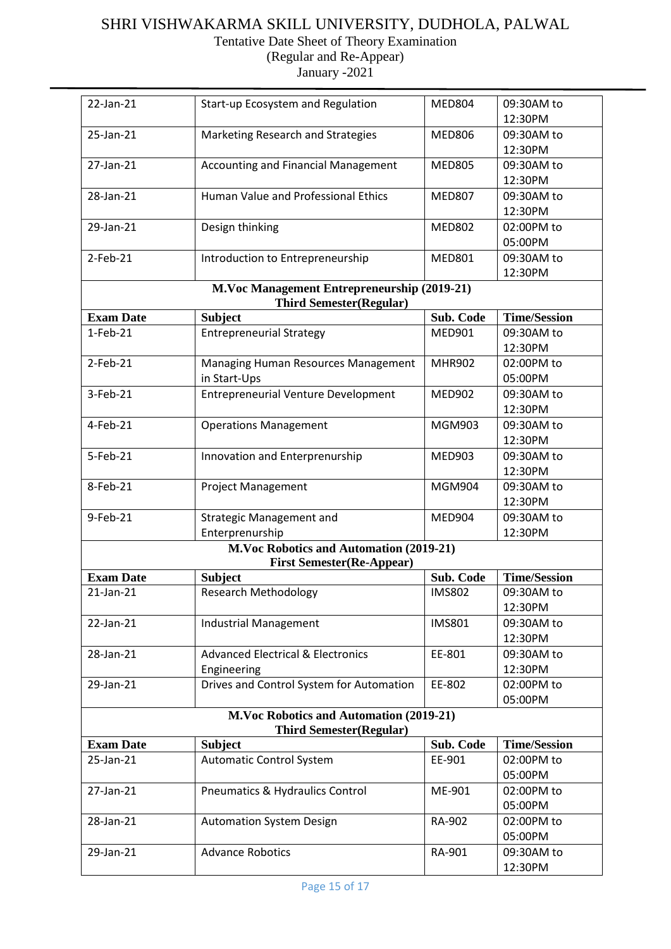#### SHRI VISHWAKARMA SKILL UNIVERSITY, DUDHOLA, PALWAL Tentative Date Sheet of Theory Examination

(Regular and Re-Appear)

| 22-Jan-21        | Start-up Ecosystem and Regulation                                             | <b>MED804</b> | 09:30AM to          |
|------------------|-------------------------------------------------------------------------------|---------------|---------------------|
|                  |                                                                               |               | 12:30PM             |
| 25-Jan-21        | Marketing Research and Strategies                                             | <b>MED806</b> | 09:30AM to          |
|                  |                                                                               |               | 12:30PM             |
| 27-Jan-21        | <b>Accounting and Financial Management</b>                                    | <b>MED805</b> | 09:30AM to          |
|                  |                                                                               |               | 12:30PM             |
| 28-Jan-21        | Human Value and Professional Ethics                                           | <b>MED807</b> | 09:30AM to          |
|                  |                                                                               |               | 12:30PM             |
| 29-Jan-21        | Design thinking                                                               | <b>MED802</b> | 02:00PM to          |
|                  |                                                                               |               | 05:00PM             |
| 2-Feb-21         | Introduction to Entrepreneurship                                              | <b>MED801</b> | 09:30AM to          |
|                  |                                                                               |               | 12:30PM             |
|                  |                                                                               |               |                     |
|                  | M.Voc Management Entrepreneurship (2019-21)<br><b>Third Semester(Regular)</b> |               |                     |
| <b>Exam Date</b> | <b>Subject</b>                                                                | Sub. Code     | <b>Time/Session</b> |
| $1-Feb-21$       | <b>Entrepreneurial Strategy</b>                                               | <b>MED901</b> | 09:30AM to          |
|                  |                                                                               |               | 12:30PM             |
|                  |                                                                               |               |                     |
| $2$ -Feb-21      | Managing Human Resources Management                                           | <b>MHR902</b> | 02:00PM to          |
|                  | in Start-Ups                                                                  |               | 05:00PM             |
| 3-Feb-21         | <b>Entrepreneurial Venture Development</b>                                    | <b>MED902</b> | 09:30AM to          |
|                  |                                                                               |               | 12:30PM             |
| 4-Feb-21         | <b>Operations Management</b>                                                  | <b>MGM903</b> | 09:30AM to          |
|                  |                                                                               |               | 12:30PM             |
| 5-Feb-21         | Innovation and Enterprenurship                                                | <b>MED903</b> | 09:30AM to          |
|                  |                                                                               |               | 12:30PM             |
| 8-Feb-21         | <b>Project Management</b>                                                     | <b>MGM904</b> | 09:30AM to          |
|                  |                                                                               |               | 12:30PM             |
| 9-Feb-21         | <b>Strategic Management and</b>                                               | MED904        | 09:30AM to          |
|                  | Enterprenurship                                                               |               | 12:30PM             |
|                  | <b>M.Voc Robotics and Automation (2019-21)</b>                                |               |                     |
|                  | <b>First Semester(Re-Appear)</b>                                              |               |                     |
| <b>Exam Date</b> | <b>Subject</b>                                                                | Sub. Code     | <b>Time/Session</b> |
| 21-Jan-21        | <b>Research Methodology</b>                                                   | <b>IMS802</b> | 09:30AM to          |
|                  |                                                                               |               | 12:30PM             |
| 22-Jan-21        | Industrial Management                                                         | <b>IMS801</b> | 09:30AM to          |
|                  |                                                                               |               | 12:30PM             |
| 28-Jan-21        | <b>Advanced Electrical &amp; Electronics</b>                                  | EE-801        | 09:30AM to          |
|                  | Engineering                                                                   |               | 12:30PM             |
| 29-Jan-21        | Drives and Control System for Automation                                      | EE-802        | 02:00PM to          |
|                  |                                                                               |               | 05:00PM             |
|                  | <b>M.Voc Robotics and Automation (2019-21)</b>                                |               |                     |
|                  | <b>Third Semester(Regular)</b>                                                |               |                     |
| <b>Exam Date</b> | <b>Subject</b>                                                                | Sub. Code     | <b>Time/Session</b> |
| 25-Jan-21        | <b>Automatic Control System</b>                                               | EE-901        | 02:00PM to          |
|                  |                                                                               |               | 05:00PM             |
| 27-Jan-21        | <b>Pneumatics &amp; Hydraulics Control</b>                                    | ME-901        | 02:00PM to          |
|                  |                                                                               |               | 05:00PM             |
|                  |                                                                               |               |                     |
| 28-Jan-21        | <b>Automation System Design</b>                                               | RA-902        | 02:00PM to          |
|                  |                                                                               |               | 05:00PM             |
| 29-Jan-21        | <b>Advance Robotics</b>                                                       | RA-901        | 09:30AM to          |
|                  |                                                                               |               | 12:30PM             |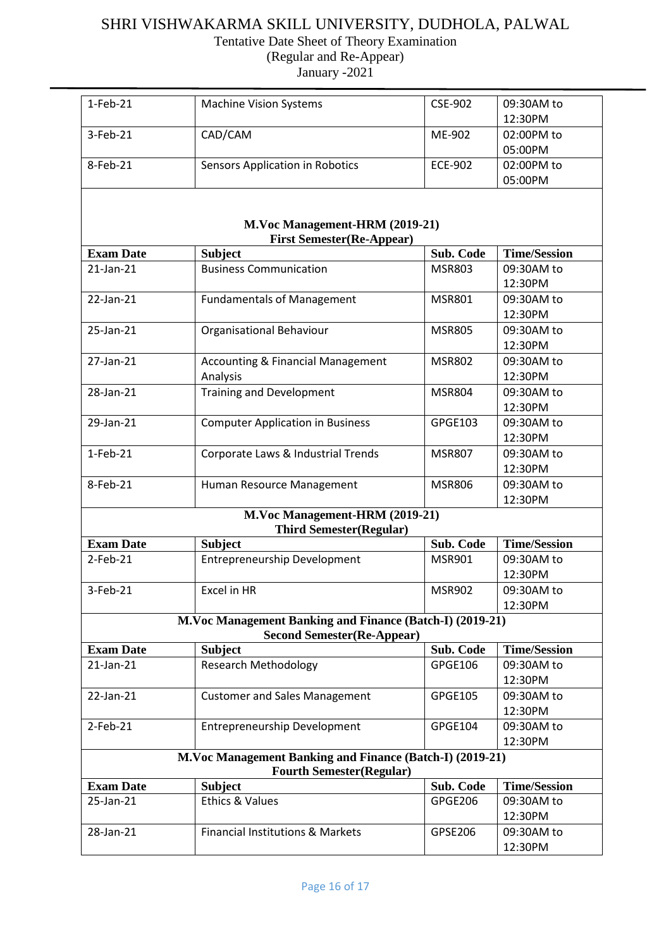Tentative Date Sheet of Theory Examination

(Regular and Re-Appear) January -2021

| $1-Feb-21$       | <b>Machine Vision Systems</b>                                                                  | <b>CSE-902</b> | 09:30AM to            |
|------------------|------------------------------------------------------------------------------------------------|----------------|-----------------------|
|                  |                                                                                                |                | 12:30PM               |
| 3-Feb-21         | CAD/CAM                                                                                        | ME-902         | 02:00PM to            |
|                  |                                                                                                |                | 05:00PM               |
| 8-Feb-21         | <b>Sensors Application in Robotics</b>                                                         | <b>ECE-902</b> | 02:00PM to            |
|                  |                                                                                                |                | 05:00PM               |
|                  |                                                                                                |                |                       |
|                  | M.Voc Management-HRM (2019-21)                                                                 |                |                       |
|                  | <b>First Semester(Re-Appear)</b>                                                               |                |                       |
| <b>Exam Date</b> | <b>Subject</b>                                                                                 | Sub. Code      | <b>Time/Session</b>   |
| 21-Jan-21        | <b>Business Communication</b>                                                                  | <b>MSR803</b>  | 09:30AM to<br>12:30PM |
| 22-Jan-21        | <b>Fundamentals of Management</b>                                                              | <b>MSR801</b>  | 09:30AM to            |
|                  |                                                                                                |                | 12:30PM               |
| 25-Jan-21        | Organisational Behaviour                                                                       | <b>MSR805</b>  | 09:30AM to            |
|                  |                                                                                                |                | 12:30PM               |
| 27-Jan-21        | <b>Accounting &amp; Financial Management</b>                                                   | <b>MSR802</b>  | 09:30AM to            |
|                  | Analysis                                                                                       |                | 12:30PM               |
| 28-Jan-21        | <b>Training and Development</b>                                                                | <b>MSR804</b>  | 09:30AM to            |
|                  |                                                                                                |                | 12:30PM               |
| 29-Jan-21        | <b>Computer Application in Business</b>                                                        | GPGE103        | 09:30AM to            |
|                  |                                                                                                |                | 12:30PM               |
| $1-Feb-21$       | Corporate Laws & Industrial Trends                                                             | <b>MSR807</b>  | 09:30AM to            |
|                  |                                                                                                |                | 12:30PM               |
| 8-Feb-21         | Human Resource Management                                                                      | <b>MSR806</b>  | 09:30AM to            |
|                  |                                                                                                |                | 12:30PM               |
|                  | M.Voc Management-HRM (2019-21)<br><b>Third Semester(Regular)</b>                               |                |                       |
| <b>Exam Date</b> | <b>Subject</b>                                                                                 | Sub. Code      | <b>Time/Session</b>   |
| $2$ -Feb-21      | Entrepreneurship Development                                                                   | <b>MSR901</b>  | 09:30AM to            |
|                  |                                                                                                |                | 12:30PM               |
| 3-Feb-21         | Excel in HR                                                                                    | <b>MSR902</b>  | 09:30AM to            |
|                  |                                                                                                |                | 12:30PM               |
|                  | M.Voc Management Banking and Finance (Batch-I) (2019-21)<br><b>Second Semester (Re-Appear)</b> |                |                       |
| <b>Exam Date</b> | <b>Subject</b>                                                                                 | Sub. Code      | <b>Time/Session</b>   |
| $21$ -Jan- $21$  | <b>Research Methodology</b>                                                                    | GPGE106        | 09:30AM to            |
|                  |                                                                                                |                | 12:30PM               |
| 22-Jan-21        | <b>Customer and Sales Management</b>                                                           | <b>GPGE105</b> | 09:30AM to            |
|                  |                                                                                                |                | 12:30PM               |
| $2$ -Feb-21      | <b>Entrepreneurship Development</b>                                                            | GPGE104        | 09:30AM to            |
|                  |                                                                                                |                | 12:30PM               |
|                  | M.Voc Management Banking and Finance (Batch-I) (2019-21)                                       |                |                       |
|                  | <b>Fourth Semester(Regular)</b>                                                                |                |                       |
| <b>Exam Date</b> | <b>Subject</b>                                                                                 | Sub. Code      | <b>Time/Session</b>   |
| 25-Jan-21        | <b>Ethics &amp; Values</b>                                                                     | GPGE206        | 09:30AM to            |
|                  |                                                                                                |                | 12:30PM               |
| 28-Jan-21        | <b>Financial Institutions &amp; Markets</b>                                                    | GPSE206        | 09:30AM to            |
|                  |                                                                                                |                | 12:30PM               |